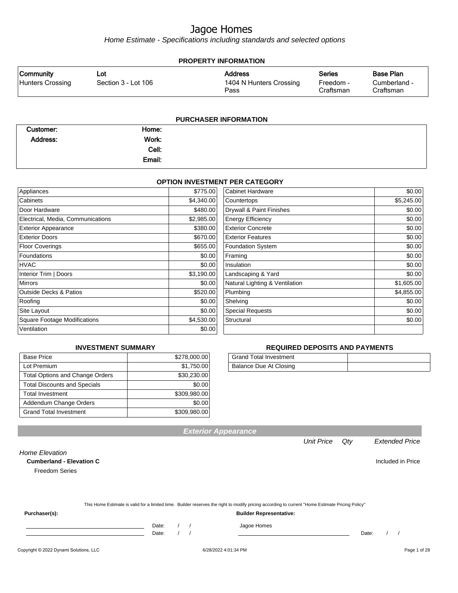Home Estimate - Specifications including standards and selected options

| <b>PROPERTY INFORMATION</b>          |                            |                                                   |                                         |                                               |  |
|--------------------------------------|----------------------------|---------------------------------------------------|-----------------------------------------|-----------------------------------------------|--|
| <b>Community</b><br>Hunters Crossing | Lot<br>Section 3 - Lot 106 | <b>Address</b><br>1404 N Hunters Crossing<br>Pass | <b>Series</b><br>Freedom -<br>Craftsman | <b>Base Plan</b><br>Cumberland -<br>Craftsman |  |
|                                      |                            | <b>PURCHASER INFORMATION</b>                      |                                         |                                               |  |
| Customer:                            | Home:                      |                                                   |                                         |                                               |  |

| Work:<br>Address: |       |
|-------------------|-------|
|                   | Cell: |
| Email:            |       |

#### **OPTION INVESTMENT PER CATEGORY**

| Appliances                          | \$775.00   | Cabinet Hardware               | \$0.00     |
|-------------------------------------|------------|--------------------------------|------------|
| Cabinets                            | \$4,340.00 | Countertops                    | \$5,245.00 |
| Door Hardware                       | \$480.00   | Drywall & Paint Finishes       | \$0.00     |
| Electrical, Media, Communications   | \$2,985.00 | <b>Energy Efficiency</b>       | \$0.00     |
| <b>Exterior Appearance</b>          | \$380.00   | <b>Exterior Concrete</b>       | \$0.00     |
| <b>Exterior Doors</b>               | \$670.00   | <b>Exterior Features</b>       | \$0.00     |
| <b>Floor Coverings</b>              | \$655.00   | <b>Foundation System</b>       | \$0.00     |
| Foundations                         | \$0.00     | Framing                        | \$0.00     |
| HVAC                                | \$0.00     | Insulation                     | \$0.00     |
| Interior Trim   Doors               | \$3,190.00 | Landscaping & Yard             | \$0.00     |
| <b>Mirrors</b>                      | \$0.00     | Natural Lighting & Ventilation | \$1,605.00 |
| <b>Outside Decks &amp; Patios</b>   | \$520.00   | Plumbing                       | \$4,855.00 |
| Roofing                             | \$0.00     | Shelving                       | \$0.00     |
| Site Layout                         | \$0.00     | <b>Special Requests</b>        | \$0.00     |
| <b>Square Footage Modifications</b> | \$4,530.00 | Structural                     | \$0.00     |
| Ventilation                         | \$0.00     |                                |            |

#### **INVESTMENT SUMMARY**

| <b>Base Price</b>                      | \$278,000.00 |
|----------------------------------------|--------------|
| Lot Premium                            | \$1,750.00   |
| <b>Total Options and Change Orders</b> | \$30,230.00  |
| <b>Total Discounts and Specials</b>    | \$0.00       |
| <b>Total Investment</b>                | \$309,980.00 |
| Addendum Change Orders                 | \$0.00       |
| <b>Grand Total Investment</b>          | \$309,980.00 |

#### **REQUIRED DEPOSITS AND PAYMENTS**

| <b>Grand Total Investment</b> |  |
|-------------------------------|--|
| Balance Due At Closing        |  |

| <b>Cumberland - Elevation C</b> |       |  |                                                                                                                                                  |       | Included in Price |  |
|---------------------------------|-------|--|--------------------------------------------------------------------------------------------------------------------------------------------------|-------|-------------------|--|
| <b>Freedom Series</b>           |       |  |                                                                                                                                                  |       |                   |  |
|                                 |       |  |                                                                                                                                                  |       |                   |  |
|                                 |       |  | This Home Estimate is valid for a limited time. Builder reserves the right to modify pricing according to current "Home Estimate Pricing Policy" |       |                   |  |
| Purchaser(s):                   |       |  | <b>Builder Representative:</b>                                                                                                                   |       |                   |  |
|                                 | Date: |  | Jagoe Homes                                                                                                                                      |       |                   |  |
|                                 | Date: |  |                                                                                                                                                  | Date: |                   |  |

Copyright © 2022 Dynami Solutions, LLC <br>
G/28/2022 4:01:34 PM 60100 6028/2022 4:01:34 PM Page 1 of 28

Home Elevation

**Exterior Appearance**

Unit Price Qty Extended Price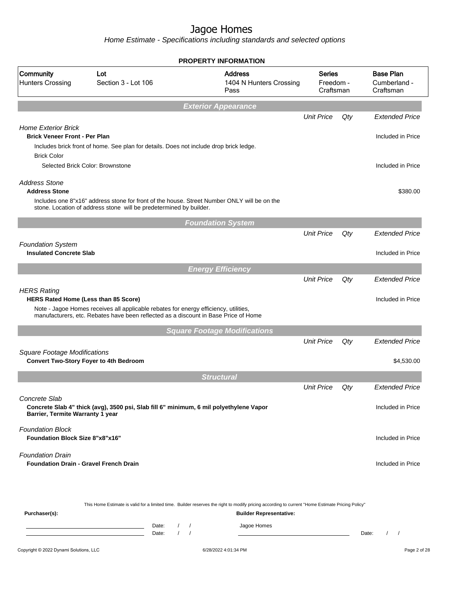|                                                                          |                                                                                                                                                                             | <b>PROPERTY INFORMATION</b>                                                                                                                      |                                         |     |                                               |
|--------------------------------------------------------------------------|-----------------------------------------------------------------------------------------------------------------------------------------------------------------------------|--------------------------------------------------------------------------------------------------------------------------------------------------|-----------------------------------------|-----|-----------------------------------------------|
| Community<br><b>Hunters Crossing</b>                                     | Lot<br>Section 3 - Lot 106                                                                                                                                                  | <b>Address</b><br>1404 N Hunters Crossing<br>Pass                                                                                                | <b>Series</b><br>Freedom -<br>Craftsman |     | <b>Base Plan</b><br>Cumberland -<br>Craftsman |
|                                                                          |                                                                                                                                                                             | <b>Exterior Appearance</b>                                                                                                                       |                                         |     |                                               |
|                                                                          |                                                                                                                                                                             |                                                                                                                                                  | <b>Unit Price</b>                       | Qty | <b>Extended Price</b>                         |
| <b>Home Exterior Brick</b><br><b>Brick Veneer Front - Per Plan</b>       |                                                                                                                                                                             |                                                                                                                                                  |                                         |     | Included in Price                             |
| <b>Brick Color</b>                                                       | Includes brick front of home. See plan for details. Does not include drop brick ledge.                                                                                      |                                                                                                                                                  |                                         |     |                                               |
|                                                                          | Selected Brick Color: Brownstone                                                                                                                                            |                                                                                                                                                  |                                         |     | Included in Price                             |
| <b>Address Stone</b><br><b>Address Stone</b>                             |                                                                                                                                                                             |                                                                                                                                                  |                                         |     | \$380.00                                      |
|                                                                          | Includes one 8"x16" address stone for front of the house. Street Number ONLY will be on the<br>stone. Location of address stone will be predetermined by builder.           |                                                                                                                                                  |                                         |     |                                               |
|                                                                          |                                                                                                                                                                             | <b>Foundation System</b>                                                                                                                         |                                         |     |                                               |
|                                                                          |                                                                                                                                                                             |                                                                                                                                                  | <b>Unit Price</b>                       | Qty | <b>Extended Price</b>                         |
| <b>Foundation System</b><br><b>Insulated Concrete Slab</b>               |                                                                                                                                                                             |                                                                                                                                                  |                                         |     | Included in Price                             |
|                                                                          |                                                                                                                                                                             |                                                                                                                                                  |                                         |     |                                               |
|                                                                          |                                                                                                                                                                             | <b>Energy Efficiency</b>                                                                                                                         | <b>Unit Price</b>                       | Qty | <b>Extended Price</b>                         |
| <b>HERS Rating</b>                                                       |                                                                                                                                                                             |                                                                                                                                                  |                                         |     |                                               |
| HERS Rated Home (Less than 85 Score)                                     |                                                                                                                                                                             |                                                                                                                                                  |                                         |     | Included in Price                             |
|                                                                          | Note - Jagoe Homes receives all applicable rebates for energy efficiency, utilities,<br>manufacturers, etc. Rebates have been reflected as a discount in Base Price of Home |                                                                                                                                                  |                                         |     |                                               |
|                                                                          |                                                                                                                                                                             | <b>Square Footage Modifications</b>                                                                                                              |                                         |     |                                               |
|                                                                          |                                                                                                                                                                             |                                                                                                                                                  | <b>Unit Price</b>                       | Qty | <b>Extended Price</b>                         |
| <b>Square Footage Modifications</b>                                      | <b>Convert Two-Story Foyer to 4th Bedroom</b>                                                                                                                               |                                                                                                                                                  |                                         |     | \$4,530.00                                    |
|                                                                          |                                                                                                                                                                             | <b>Structural</b>                                                                                                                                |                                         |     |                                               |
|                                                                          |                                                                                                                                                                             |                                                                                                                                                  | <b>Unit Price</b>                       | Qty | <b>Extended Price</b>                         |
| Concrete Slab<br>Barrier, Termite Warranty 1 year                        | Concrete Slab 4" thick (avg), 3500 psi, Slab fill 6" minimum, 6 mil polyethylene Vapor                                                                                      |                                                                                                                                                  |                                         |     | Included in Price                             |
| <b>Foundation Block</b><br><b>Foundation Block Size 8"x8"x16"</b>        |                                                                                                                                                                             |                                                                                                                                                  |                                         |     | Included in Price                             |
| <b>Foundation Drain</b><br><b>Foundation Drain - Gravel French Drain</b> |                                                                                                                                                                             |                                                                                                                                                  |                                         |     | Included in Price                             |
|                                                                          |                                                                                                                                                                             | This Home Estimate is valid for a limited time. Builder reserves the right to modify pricing according to current "Home Estimate Pricing Policy" |                                         |     |                                               |
| Purchaser(s):                                                            |                                                                                                                                                                             | <b>Builder Representative:</b>                                                                                                                   |                                         |     |                                               |
|                                                                          | Date:<br>$\overline{\phantom{a}}$<br>Date:                                                                                                                                  | Jagoe Homes                                                                                                                                      |                                         |     | Date:                                         |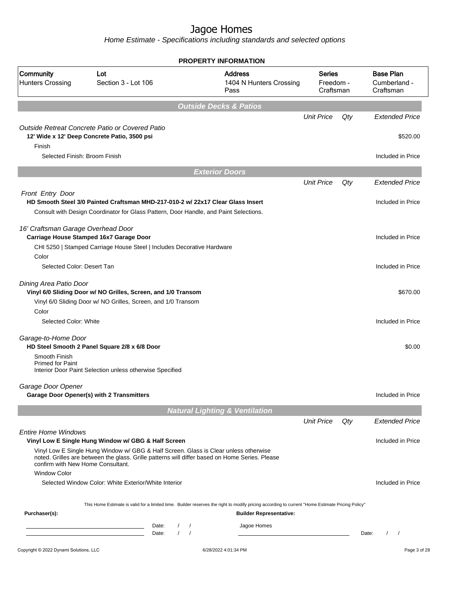| Community<br><b>Hunters Crossing</b>                     | Lot<br>Section 3 - Lot 106                                                                                                                                                             | <b>Address</b><br>1404 N Hunters Crossing<br>Pass | <b>Series</b><br>Freedom -<br>Craftsman |        | <b>Base Plan</b><br>Cumberland -<br>Craftsman |
|----------------------------------------------------------|----------------------------------------------------------------------------------------------------------------------------------------------------------------------------------------|---------------------------------------------------|-----------------------------------------|--------|-----------------------------------------------|
|                                                          |                                                                                                                                                                                        | <b>Outside Decks &amp; Patios</b>                 |                                         |        |                                               |
|                                                          |                                                                                                                                                                                        |                                                   | <b>Unit Price</b>                       | Qty    | <b>Extended Price</b>                         |
| Finish                                                   | Outside Retreat Concrete Patio or Covered Patio<br>12' Wide x 12' Deep Concrete Patio, 3500 psi                                                                                        |                                                   |                                         |        | \$520.00                                      |
| Selected Finish: Broom Finish                            |                                                                                                                                                                                        |                                                   |                                         |        | Included in Price                             |
|                                                          |                                                                                                                                                                                        | <b>Exterior Doors</b>                             |                                         |        |                                               |
|                                                          |                                                                                                                                                                                        |                                                   | <b>Unit Price</b>                       | Qty    | <b>Extended Price</b>                         |
| Front Entry Door                                         | HD Smooth Steel 3/0 Painted Craftsman MHD-217-010-2 w/ 22x17 Clear Glass Insert                                                                                                        |                                                   |                                         |        | Included in Price                             |
|                                                          | Consult with Design Coordinator for Glass Pattern, Door Handle, and Paint Selections.                                                                                                  |                                                   |                                         |        |                                               |
| 16' Craftsman Garage Overhead Door                       | Carriage House Stamped 16x7 Garage Door<br>CHI 5250   Stamped Carriage House Steel   Includes Decorative Hardware                                                                      |                                                   |                                         |        | Included in Price                             |
| Color<br>Selected Color: Desert Tan                      |                                                                                                                                                                                        |                                                   |                                         |        | Included in Price                             |
| Dining Area Patio Door                                   | Vinyl 6/0 Sliding Door w/ NO Grilles, Screen, and 1/0 Transom<br>Vinyl 6/0 Sliding Door w/ NO Grilles, Screen, and 1/0 Transom                                                         |                                                   |                                         |        | \$670.00                                      |
| Color<br>Selected Color: White                           |                                                                                                                                                                                        |                                                   |                                         |        | Included in Price                             |
| Garage-to-Home Door                                      | HD Steel Smooth 2 Panel Square 2/8 x 6/8 Door                                                                                                                                          |                                                   |                                         |        | \$0.00                                        |
| Smooth Finish<br><b>Primed for Paint</b>                 | Interior Door Paint Selection unless otherwise Specified                                                                                                                               |                                                   |                                         |        |                                               |
| Garage Door Opener                                       | <b>Garage Door Opener(s) with 2 Transmitters</b>                                                                                                                                       |                                                   |                                         |        | Included in Price                             |
|                                                          |                                                                                                                                                                                        | <b>Natural Lighting &amp; Ventilation</b>         |                                         |        |                                               |
|                                                          |                                                                                                                                                                                        |                                                   | <b>Unit Price</b>                       | $Q$ ty | <b>Extended Price</b>                         |
| <b>Entire Home Windows</b>                               | Vinyl Low E Single Hung Window w/ GBG & Half Screen                                                                                                                                    |                                                   |                                         |        | Included in Price                             |
| confirm with New Home Consultant.<br><b>Window Color</b> | Vinyl Low E Single Hung Window w/ GBG & Half Screen. Glass is Clear unless otherwise<br>noted. Grilles are between the glass. Grille patterns will differ based on Home Series. Please |                                                   |                                         |        |                                               |
|                                                          | Selected Window Color: White Exterior/White Interior                                                                                                                                   |                                                   |                                         |        | Included in Price                             |
| Purchaser(s):                                            | This Home Estimate is valid for a limited time. Builder reserves the right to modify pricing according to current "Home Estimate Pricing Policy"                                       | <b>Builder Representative:</b>                    |                                         |        |                                               |
|                                                          | Date:<br>$\prime$<br>$\prime$<br>the control of the control of the control of the control of<br>$\prime$<br>$\sqrt{ }$<br>Date:                                                        | Jagoe Homes                                       |                                         |        | Date:<br>$\prime$<br>$\sqrt{2}$               |
| Copyright © 2022 Dynami Solutions, LLC                   |                                                                                                                                                                                        | 6/28/2022 4:01:34 PM                              |                                         |        | Page 3 of 28                                  |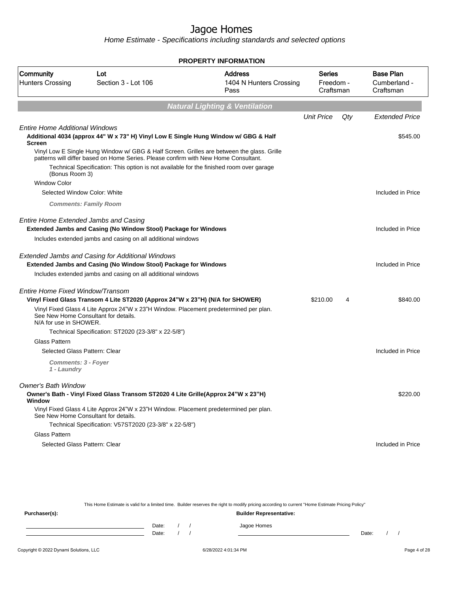Home Estimate - Specifications including standards and selected options

|                                                            |                                                                                                                                                                                                                                                                              | <b>PROPERTY INFORMATION</b>                       |                                  |     |                                               |
|------------------------------------------------------------|------------------------------------------------------------------------------------------------------------------------------------------------------------------------------------------------------------------------------------------------------------------------------|---------------------------------------------------|----------------------------------|-----|-----------------------------------------------|
| Community<br><b>Hunters Crossing</b>                       | Lot<br>Section 3 - Lot 106                                                                                                                                                                                                                                                   | <b>Address</b><br>1404 N Hunters Crossing<br>Pass | Series<br>Freedom -<br>Craftsman |     | <b>Base Plan</b><br>Cumberland -<br>Craftsman |
|                                                            |                                                                                                                                                                                                                                                                              | <b>Natural Lighting &amp; Ventilation</b>         |                                  |     |                                               |
|                                                            |                                                                                                                                                                                                                                                                              |                                                   | <b>Unit Price</b>                | Qty | <b>Extended Price</b>                         |
| <b>Entire Home Additional Windows</b><br><b>Screen</b>     | Additional 4034 (approx 44" W x 73" H) Vinyl Low E Single Hung Window w/ GBG & Half                                                                                                                                                                                          |                                                   |                                  |     | \$545.00                                      |
| (Bonus Room 3)<br><b>Window Color</b>                      | Vinyl Low E Single Hung Window w/ GBG & Half Screen. Grilles are between the glass. Grille<br>patterns will differ based on Home Series. Please confirm with New Home Consultant.<br>Technical Specification: This option is not available for the finished room over garage |                                                   |                                  |     |                                               |
| Selected Window Color: White                               |                                                                                                                                                                                                                                                                              |                                                   |                                  |     | Included in Price                             |
|                                                            | <b>Comments: Family Room</b>                                                                                                                                                                                                                                                 |                                                   |                                  |     |                                               |
| <b>Entire Home Extended Jambs and Casing</b>               | Extended Jambs and Casing (No Window Stool) Package for Windows                                                                                                                                                                                                              |                                                   |                                  |     | Included in Price                             |
|                                                            | Includes extended jambs and casing on all additional windows                                                                                                                                                                                                                 |                                                   |                                  |     |                                               |
|                                                            | <b>Extended Jambs and Casing for Additional Windows</b><br>Extended Jambs and Casing (No Window Stool) Package for Windows                                                                                                                                                   |                                                   |                                  |     | Included in Price                             |
|                                                            | Includes extended jambs and casing on all additional windows                                                                                                                                                                                                                 |                                                   |                                  |     |                                               |
| Entire Home Fixed Window/Transom<br>N/A for use in SHOWER. | Vinyl Fixed Glass Transom 4 Lite ST2020 (Approx 24"W x 23"H) (N/A for SHOWER)<br>Vinyl Fixed Glass 4 Lite Approx 24"W x 23"H Window. Placement predetermined per plan.<br>See New Home Consultant for details.                                                               |                                                   | \$210.00                         | 4   | \$840.00                                      |
|                                                            | Technical Specification: ST2020 (23-3/8" x 22-5/8")                                                                                                                                                                                                                          |                                                   |                                  |     |                                               |
| <b>Glass Pattern</b>                                       |                                                                                                                                                                                                                                                                              |                                                   |                                  |     |                                               |
| Selected Glass Pattern: Clear                              |                                                                                                                                                                                                                                                                              |                                                   |                                  |     | Included in Price                             |
| Comments: 3 - Foyer<br>1 - Laundry                         |                                                                                                                                                                                                                                                                              |                                                   |                                  |     |                                               |
| Owner's Bath Window                                        |                                                                                                                                                                                                                                                                              |                                                   |                                  |     |                                               |
| Window                                                     | Owner's Bath - Vinyl Fixed Glass Transom ST2020 4 Lite Grille(Approx 24"W x 23"H)                                                                                                                                                                                            |                                                   |                                  |     | \$220.00                                      |
|                                                            | Vinyl Fixed Glass 4 Lite Approx 24"W x 23"H Window. Placement predetermined per plan.<br>See New Home Consultant for details.                                                                                                                                                |                                                   |                                  |     |                                               |
|                                                            | Technical Specification: V57ST2020 (23-3/8" x 22-5/8")                                                                                                                                                                                                                       |                                                   |                                  |     |                                               |
| Glass Pattern                                              |                                                                                                                                                                                                                                                                              |                                                   |                                  |     |                                               |
| Selected Glass Pattern: Clear                              |                                                                                                                                                                                                                                                                              |                                                   |                                  |     | Included in Price                             |

This Home Estimate is valid for a limited time. Builder reserves the right to modify pricing according to current "Home Estimate Pricing Policy"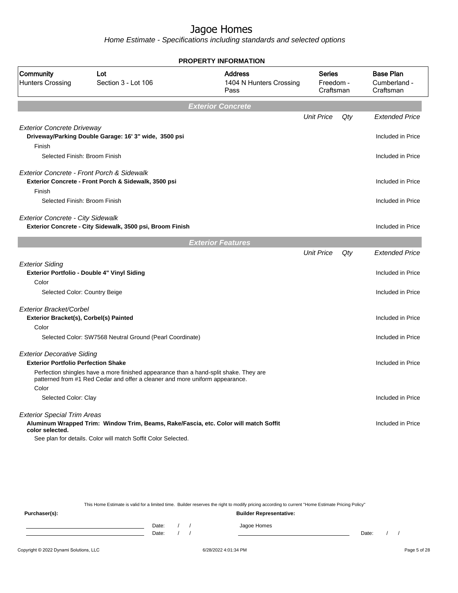Home Estimate - Specifications including standards and selected options

|                                             |                                                                                                                                                                       | <b>PROPERTY INFORMATION</b>                       |                                  |     |                                               |
|---------------------------------------------|-----------------------------------------------------------------------------------------------------------------------------------------------------------------------|---------------------------------------------------|----------------------------------|-----|-----------------------------------------------|
| Community<br><b>Hunters Crossing</b>        | Lot<br>Section 3 - Lot 106                                                                                                                                            | <b>Address</b><br>1404 N Hunters Crossing<br>Pass | Series<br>Freedom -<br>Craftsman |     | <b>Base Plan</b><br>Cumberland -<br>Craftsman |
|                                             |                                                                                                                                                                       | <b>Exterior Concrete</b>                          |                                  |     |                                               |
|                                             |                                                                                                                                                                       |                                                   | <b>Unit Price</b>                | Qty | <b>Extended Price</b>                         |
| <b>Exterior Concrete Driveway</b><br>Finish | Driveway/Parking Double Garage: 16' 3" wide, 3500 psi                                                                                                                 |                                                   |                                  |     | Included in Price                             |
| Selected Finish: Broom Finish               |                                                                                                                                                                       |                                                   |                                  |     | Included in Price                             |
| Exterior Concrete - Front Porch & Sidewalk  | Exterior Concrete - Front Porch & Sidewalk, 3500 psi                                                                                                                  |                                                   |                                  |     | Included in Price                             |
| Finish<br>Selected Finish: Broom Finish     |                                                                                                                                                                       |                                                   |                                  |     | Included in Price                             |
|                                             |                                                                                                                                                                       |                                                   |                                  |     |                                               |
| <b>Exterior Concrete - City Sidewalk</b>    | Exterior Concrete - City Sidewalk, 3500 psi, Broom Finish                                                                                                             |                                                   |                                  |     | Included in Price                             |
|                                             |                                                                                                                                                                       | <b>Exterior Features</b>                          |                                  |     |                                               |
|                                             |                                                                                                                                                                       |                                                   | <b>Unit Price</b>                | Qty | <b>Extended Price</b>                         |
| <b>Exterior Siding</b>                      | Exterior Portfolio - Double 4" Vinyl Siding                                                                                                                           |                                                   |                                  |     | Included in Price                             |
| Color                                       |                                                                                                                                                                       |                                                   |                                  |     |                                               |
| Selected Color: Country Beige               |                                                                                                                                                                       |                                                   |                                  |     | Included in Price                             |
| Exterior Bracket/Corbel                     |                                                                                                                                                                       |                                                   |                                  |     |                                               |
| Exterior Bracket(s), Corbel(s) Painted      |                                                                                                                                                                       |                                                   |                                  |     | Included in Price                             |
| Color                                       |                                                                                                                                                                       |                                                   |                                  |     |                                               |
|                                             | Selected Color: SW7568 Neutral Ground (Pearl Coordinate)                                                                                                              |                                                   |                                  |     | Included in Price                             |
| <b>Exterior Decorative Siding</b>           |                                                                                                                                                                       |                                                   |                                  |     |                                               |
| <b>Exterior Portfolio Perfection Shake</b>  |                                                                                                                                                                       |                                                   |                                  |     | Included in Price                             |
| Color                                       | Perfection shingles have a more finished appearance than a hand-split shake. They are<br>patterned from #1 Red Cedar and offer a cleaner and more uniform appearance. |                                                   |                                  |     |                                               |
| Selected Color: Clay                        |                                                                                                                                                                       |                                                   |                                  |     | Included in Price                             |
| <b>Exterior Special Trim Areas</b>          |                                                                                                                                                                       |                                                   |                                  |     |                                               |
| color selected.                             | Aluminum Wrapped Trim: Window Trim, Beams, Rake/Fascia, etc. Color will match Soffit                                                                                  |                                                   |                                  |     | Included in Price                             |
|                                             | See plan for details. Color will match Soffit Color Selected.                                                                                                         |                                                   |                                  |     |                                               |

This Home Estimate is valid for a limited time. Builder reserves the right to modify pricing according to current "Home Estimate Pricing Policy"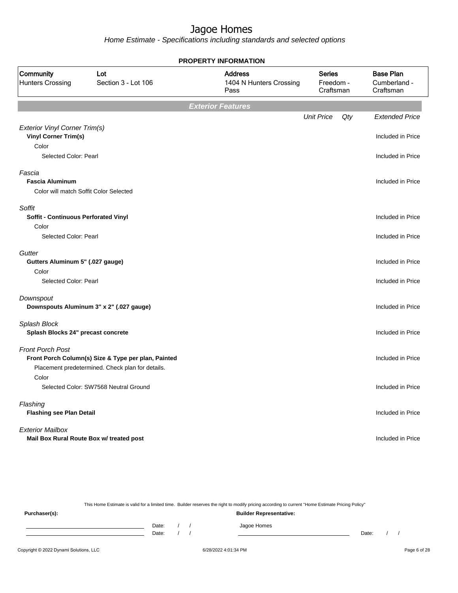Home Estimate - Specifications including standards and selected options

|                                                                            |                                                                                                         | <b>PROPERTY INFORMATION</b>                       |                                         |     |                                               |
|----------------------------------------------------------------------------|---------------------------------------------------------------------------------------------------------|---------------------------------------------------|-----------------------------------------|-----|-----------------------------------------------|
| Community<br><b>Hunters Crossing</b>                                       | Lot<br>Section 3 - Lot 106                                                                              | <b>Address</b><br>1404 N Hunters Crossing<br>Pass | <b>Series</b><br>Freedom -<br>Craftsman |     | <b>Base Plan</b><br>Cumberland -<br>Craftsman |
|                                                                            |                                                                                                         | <b>Exterior Features</b>                          |                                         |     |                                               |
| <b>Exterior Vinyl Corner Trim(s)</b>                                       |                                                                                                         |                                                   | <b>Unit Price</b>                       | Qty | <b>Extended Price</b>                         |
| <b>Vinyl Corner Trim(s)</b><br>Color                                       |                                                                                                         |                                                   |                                         |     | Included in Price                             |
| Selected Color: Pearl                                                      |                                                                                                         |                                                   |                                         |     | Included in Price                             |
| Fascia<br><b>Fascia Aluminum</b><br>Color will match Soffit Color Selected |                                                                                                         |                                                   |                                         |     | Included in Price                             |
| Soffit<br><b>Soffit - Continuous Perforated Vinyl</b>                      |                                                                                                         |                                                   |                                         |     | Included in Price                             |
| Color<br>Selected Color: Pearl                                             |                                                                                                         |                                                   |                                         |     | Included in Price                             |
| Gutter<br>Gutters Aluminum 5" (.027 gauge)<br>Color                        |                                                                                                         |                                                   |                                         |     | Included in Price                             |
| Selected Color: Pearl                                                      |                                                                                                         |                                                   |                                         |     | Included in Price                             |
| Downspout                                                                  | Downspouts Aluminum 3" x 2" (.027 gauge)                                                                |                                                   |                                         |     | Included in Price                             |
| Splash Block<br>Splash Blocks 24" precast concrete                         |                                                                                                         |                                                   |                                         |     | Included in Price                             |
| <b>Front Porch Post</b>                                                    | Front Porch Column(s) Size & Type per plan, Painted<br>Placement predetermined. Check plan for details. |                                                   |                                         |     | Included in Price                             |
| Color                                                                      | Selected Color: SW7568 Neutral Ground                                                                   |                                                   |                                         |     | Included in Price                             |
| Flashing<br><b>Flashing see Plan Detail</b>                                |                                                                                                         |                                                   |                                         |     | Included in Price                             |
| <b>Exterior Mailbox</b><br>Mail Box Rural Route Box w/ treated post        |                                                                                                         |                                                   |                                         |     | Included in Price                             |

This Home Estimate is valid for a limited time. Builder reserves the right to modify pricing according to current "Home Estimate Pricing Policy"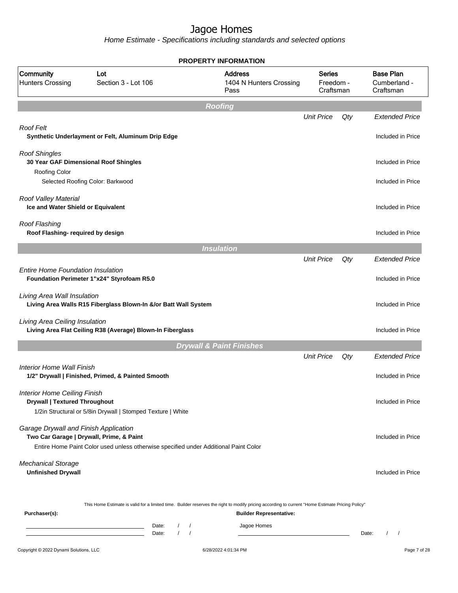|                                                                             |                                                                                                                                                                            | <b>PROPERTY INFORMATION</b>                                                                                                                                                        |                                         |     |                                               |  |
|-----------------------------------------------------------------------------|----------------------------------------------------------------------------------------------------------------------------------------------------------------------------|------------------------------------------------------------------------------------------------------------------------------------------------------------------------------------|-----------------------------------------|-----|-----------------------------------------------|--|
| Community<br><b>Hunters Crossing</b>                                        | Lot<br>Section 3 - Lot 106                                                                                                                                                 | <b>Address</b><br>1404 N Hunters Crossing<br>Pass                                                                                                                                  | <b>Series</b><br>Freedom -<br>Craftsman |     | <b>Base Plan</b><br>Cumberland -<br>Craftsman |  |
|                                                                             |                                                                                                                                                                            | <b>Roofing</b>                                                                                                                                                                     |                                         |     |                                               |  |
|                                                                             |                                                                                                                                                                            |                                                                                                                                                                                    | <b>Unit Price</b>                       | Qty | <b>Extended Price</b>                         |  |
| Roof Felt                                                                   | Synthetic Underlayment or Felt, Aluminum Drip Edge                                                                                                                         |                                                                                                                                                                                    |                                         |     | Included in Price                             |  |
| <b>Roof Shingles</b><br>30 Year GAF Dimensional Roof Shingles               |                                                                                                                                                                            |                                                                                                                                                                                    |                                         |     | Included in Price                             |  |
| <b>Roofing Color</b>                                                        | Selected Roofing Color: Barkwood                                                                                                                                           |                                                                                                                                                                                    |                                         |     | Included in Price                             |  |
| Roof Valley Material<br>Ice and Water Shield or Equivalent                  |                                                                                                                                                                            |                                                                                                                                                                                    |                                         |     | Included in Price                             |  |
| Roof Flashing<br>Roof Flashing- required by design                          |                                                                                                                                                                            |                                                                                                                                                                                    |                                         |     | Included in Price                             |  |
|                                                                             |                                                                                                                                                                            | <b>Insulation</b>                                                                                                                                                                  |                                         |     |                                               |  |
|                                                                             |                                                                                                                                                                            |                                                                                                                                                                                    | <b>Unit Price</b>                       | Qty | <b>Extended Price</b>                         |  |
| <b>Entire Home Foundation Insulation</b>                                    | Foundation Perimeter 1"x24" Styrofoam R5.0                                                                                                                                 |                                                                                                                                                                                    |                                         |     | Included in Price                             |  |
| Living Area Wall Insulation                                                 | Living Area Walls R15 Fiberglass Blown-In &/or Batt Wall System                                                                                                            |                                                                                                                                                                                    |                                         |     | Included in Price                             |  |
| Living Area Ceiling Insulation                                              | Living Area Flat Ceiling R38 (Average) Blown-In Fiberglass                                                                                                                 |                                                                                                                                                                                    |                                         |     | Included in Price                             |  |
|                                                                             |                                                                                                                                                                            | <b>Drywall &amp; Paint Finishes</b>                                                                                                                                                |                                         |     |                                               |  |
|                                                                             |                                                                                                                                                                            |                                                                                                                                                                                    | <b>Unit Price</b>                       | Qty | <b>Extended Price</b>                         |  |
| Interior Home Wall Finish                                                   | 1/2" Drywall   Finished, Primed, & Painted Smooth                                                                                                                          |                                                                                                                                                                                    |                                         |     | Included in Price                             |  |
| <b>Interior Home Ceiling Finish</b><br><b>Drywall   Textured Throughout</b> | 1/2in Structural or 5/8in Drywall   Stomped Texture   White                                                                                                                |                                                                                                                                                                                    |                                         |     | Included in Price                             |  |
| Garage Drywall and Finish Application                                       | Two Car Garage   Drywall, Prime, & Paint                                                                                                                                   |                                                                                                                                                                                    |                                         |     | Included in Price                             |  |
|                                                                             | Entire Home Paint Color used unless otherwise specified under Additional Paint Color                                                                                       |                                                                                                                                                                                    |                                         |     |                                               |  |
| <b>Mechanical Storage</b><br><b>Unfinished Drywall</b>                      |                                                                                                                                                                            |                                                                                                                                                                                    |                                         |     | Included in Price                             |  |
| Purchaser(s):                                                               |                                                                                                                                                                            | This Home Estimate is valid for a limited time. Builder reserves the right to modify pricing according to current "Home Estimate Pricing Policy"<br><b>Builder Representative:</b> |                                         |     |                                               |  |
|                                                                             | Date:<br>$\sqrt{2}$<br>$\prime$<br><u> 1989 - Johann Barn, amerikansk politiker (</u><br>$\sqrt{ }$<br>$\sqrt{ }$<br>the control of the control of the control of<br>Date: | Jagoe Homes                                                                                                                                                                        |                                         |     | Date:<br>$\left  \right $                     |  |
| Copyright © 2022 Dynami Solutions, LLC                                      |                                                                                                                                                                            | 6/28/2022 4:01:34 PM                                                                                                                                                               |                                         |     | Page 7 of 28                                  |  |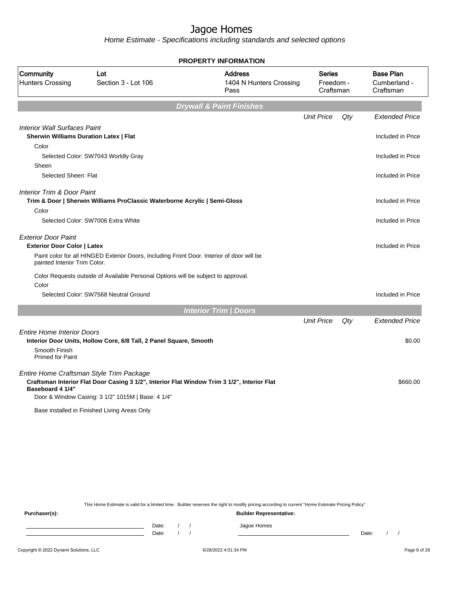Home Estimate - Specifications including standards and selected options

|                                               |                                                                                             | <b>PROPERTY INFORMATION</b>                       |                                  |     |                                               |
|-----------------------------------------------|---------------------------------------------------------------------------------------------|---------------------------------------------------|----------------------------------|-----|-----------------------------------------------|
| Community<br><b>Hunters Crossing</b>          | Lot<br>Section 3 - Lot 106                                                                  | <b>Address</b><br>1404 N Hunters Crossing<br>Pass | Series<br>Freedom -<br>Craftsman |     | <b>Base Plan</b><br>Cumberland -<br>Craftsman |
|                                               |                                                                                             | <b>Drywall &amp; Paint Finishes</b>               |                                  |     |                                               |
|                                               |                                                                                             |                                                   | <b>Unit Price</b>                | Qty | <b>Extended Price</b>                         |
| <b>Interior Wall Surfaces Paint</b>           |                                                                                             |                                                   |                                  |     |                                               |
| <b>Sherwin Williams Duration Latex   Flat</b> |                                                                                             |                                                   |                                  |     | Included in Price                             |
| Color                                         |                                                                                             |                                                   |                                  |     |                                               |
|                                               | Selected Color: SW7043 Worldly Gray                                                         |                                                   |                                  |     | Included in Price                             |
| Sheen                                         |                                                                                             |                                                   |                                  |     |                                               |
| Selected Sheen: Flat                          |                                                                                             |                                                   |                                  |     | Included in Price                             |
|                                               |                                                                                             |                                                   |                                  |     |                                               |
| <b>Interior Trim &amp; Door Paint</b>         | Trim & Door   Sherwin Williams ProClassic Waterborne Acrylic   Semi-Gloss                   |                                                   |                                  |     | Included in Price                             |
| Color                                         |                                                                                             |                                                   |                                  |     |                                               |
|                                               | Selected Color: SW7006 Extra White                                                          |                                                   |                                  |     | Included in Price                             |
|                                               |                                                                                             |                                                   |                                  |     |                                               |
| <b>Exterior Door Paint</b>                    |                                                                                             |                                                   |                                  |     |                                               |
| <b>Exterior Door Color   Latex</b>            |                                                                                             |                                                   |                                  |     | Included in Price                             |
| painted Interior Trim Color.                  | Paint color for all HINGED Exterior Doors, Including Front Door. Interior of door will be   |                                                   |                                  |     |                                               |
|                                               | Color Requests outside of Available Personal Options will be subject to approval.           |                                                   |                                  |     |                                               |
| Color                                         |                                                                                             |                                                   |                                  |     |                                               |
|                                               | Selected Color: SW7568 Neutral Ground                                                       |                                                   |                                  |     | Included in Price                             |
|                                               |                                                                                             |                                                   |                                  |     |                                               |
|                                               |                                                                                             | <b>Interior Trim   Doors</b>                      |                                  |     |                                               |
|                                               |                                                                                             |                                                   | <b>Unit Price</b>                | Qty | <b>Extended Price</b>                         |
| <b>Entire Home Interior Doors</b>             |                                                                                             |                                                   |                                  |     |                                               |
| Smooth Finish                                 | Interior Door Units, Hollow Core, 6/8 Tall, 2 Panel Square, Smooth                          |                                                   |                                  |     | \$0.00                                        |
| <b>Primed for Paint</b>                       |                                                                                             |                                                   |                                  |     |                                               |
|                                               |                                                                                             |                                                   |                                  |     |                                               |
|                                               | Entire Home Craftsman Style Trim Package                                                    |                                                   |                                  |     |                                               |
| Baseboard 4 1/4"                              | Craftsman Interior Flat Door Casing 3 1/2", Interior Flat Window Trim 3 1/2", Interior Flat |                                                   |                                  |     | \$660.00                                      |
|                                               | Door & Window Casing: 3 1/2" 1015M   Base: 4 1/4"                                           |                                                   |                                  |     |                                               |
|                                               | Base installed in Finished Living Areas Only                                                |                                                   |                                  |     |                                               |
|                                               |                                                                                             |                                                   |                                  |     |                                               |

This Home Estimate is valid for a limited time. Builder reserves the right to modify pricing according to current "Home Estimate Pricing Policy"

**Purchaser(s): Builder Representative:** Date: / / Jagoe Homes<br>Date: / / Jagoe Homes Date: / / Date: / /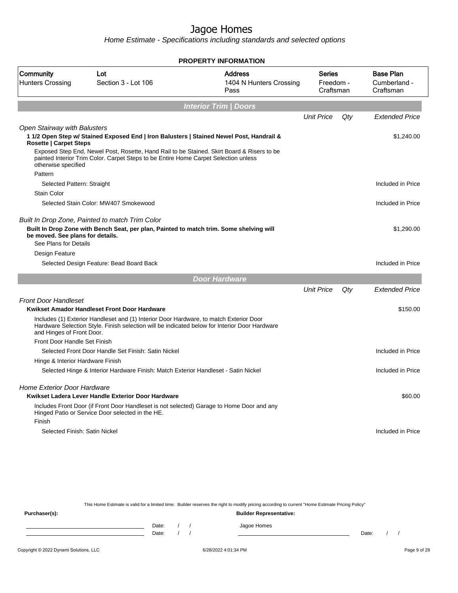Home Estimate - Specifications including standards and selected options

| <b>PROPERTY INFORMATION</b>                                   |                                                                                                                                                                                   |                                                   |                                         |     |                                               |  |  |  |  |
|---------------------------------------------------------------|-----------------------------------------------------------------------------------------------------------------------------------------------------------------------------------|---------------------------------------------------|-----------------------------------------|-----|-----------------------------------------------|--|--|--|--|
| Community<br><b>Hunters Crossing</b>                          | Lot<br>Section 3 - Lot 106                                                                                                                                                        | <b>Address</b><br>1404 N Hunters Crossing<br>Pass | <b>Series</b><br>Freedom -<br>Craftsman |     | <b>Base Plan</b><br>Cumberland -<br>Craftsman |  |  |  |  |
|                                                               |                                                                                                                                                                                   | <b>Interior Trim / Doors</b>                      |                                         |     |                                               |  |  |  |  |
|                                                               |                                                                                                                                                                                   |                                                   | <b>Unit Price</b>                       | Qty | <b>Extended Price</b>                         |  |  |  |  |
| Open Stairway with Balusters<br><b>Rosette   Carpet Steps</b> | 1 1/2 Open Step w/ Stained Exposed End   Iron Balusters   Stained Newel Post, Handrail &                                                                                          |                                                   |                                         |     | \$1,240.00                                    |  |  |  |  |
| otherwise specified                                           | Exposed Step End, Newel Post, Rosette, Hand Rail to be Stained. Skirt Board & Risers to be<br>painted Interior Trim Color. Carpet Steps to be Entire Home Carpet Selection unless |                                                   |                                         |     |                                               |  |  |  |  |
| Pattern<br>Selected Pattern: Straight                         |                                                                                                                                                                                   |                                                   |                                         |     | Included in Price                             |  |  |  |  |
| <b>Stain Color</b>                                            |                                                                                                                                                                                   |                                                   |                                         |     |                                               |  |  |  |  |
|                                                               | Selected Stain Color: MW407 Smokewood                                                                                                                                             |                                                   |                                         |     | Included in Price                             |  |  |  |  |
|                                                               |                                                                                                                                                                                   |                                                   |                                         |     |                                               |  |  |  |  |
| be moved. See plans for details.<br>See Plans for Details     | Built In Drop Zone, Painted to match Trim Color<br>Built In Drop Zone with Bench Seat, per plan, Painted to match trim. Some shelving will                                        |                                                   |                                         |     | \$1,290.00                                    |  |  |  |  |
| Design Feature                                                |                                                                                                                                                                                   |                                                   |                                         |     |                                               |  |  |  |  |
|                                                               | Selected Design Feature: Bead Board Back                                                                                                                                          |                                                   |                                         |     | Included in Price                             |  |  |  |  |
|                                                               |                                                                                                                                                                                   | <b>Door Hardware</b>                              |                                         |     |                                               |  |  |  |  |
|                                                               |                                                                                                                                                                                   |                                                   | <b>Unit Price</b>                       | Qty | <b>Extended Price</b>                         |  |  |  |  |
| <b>Front Door Handleset</b>                                   | Kwikset Amador Handleset Front Door Hardware                                                                                                                                      |                                                   |                                         |     | \$150.00                                      |  |  |  |  |
|                                                               | Includes (1) Exterior Handleset and (1) Interior Door Hardware, to match Exterior Door                                                                                            |                                                   |                                         |     |                                               |  |  |  |  |
| and Hinges of Front Door.                                     | Hardware Selection Style. Finish selection will be indicated below for Interior Door Hardware                                                                                     |                                                   |                                         |     |                                               |  |  |  |  |
| Front Door Handle Set Finish                                  |                                                                                                                                                                                   |                                                   |                                         |     |                                               |  |  |  |  |
|                                                               | Selected Front Door Handle Set Finish: Satin Nickel                                                                                                                               |                                                   |                                         |     | Included in Price                             |  |  |  |  |
| Hinge & Interior Hardware Finish                              |                                                                                                                                                                                   |                                                   |                                         |     |                                               |  |  |  |  |
|                                                               | Selected Hinge & Interior Hardware Finish: Match Exterior Handleset - Satin Nickel                                                                                                |                                                   |                                         |     | Included in Price                             |  |  |  |  |
| Home Exterior Door Hardware                                   |                                                                                                                                                                                   |                                                   |                                         |     |                                               |  |  |  |  |
|                                                               | Kwikset Ladera Lever Handle Exterior Door Hardware                                                                                                                                |                                                   |                                         |     | \$60.00                                       |  |  |  |  |
|                                                               | Includes Front Door (if Front Door Handleset is not selected) Garage to Home Door and any<br>Hinged Patio or Service Door selected in the HE.                                     |                                                   |                                         |     |                                               |  |  |  |  |
| Finish                                                        |                                                                                                                                                                                   |                                                   |                                         |     |                                               |  |  |  |  |
| Selected Finish: Satin Nickel                                 |                                                                                                                                                                                   |                                                   |                                         |     | Included in Price                             |  |  |  |  |
|                                                               |                                                                                                                                                                                   |                                                   |                                         |     |                                               |  |  |  |  |
|                                                               |                                                                                                                                                                                   |                                                   |                                         |     |                                               |  |  |  |  |

This Home Estimate is valid for a limited time. Builder reserves the right to modify pricing according to current "Home Estimate Pricing Policy" **Purchaser(s): Builder Representative:** Date: / / Jagoe Homes<br>Date: / / Jagoe Homes Date: / / **Date: / / 2006** Date: / / / Date: / / / Date: / / / 2006 Date: / / / 2006 Date: / / / 2006 Date: / / / 2006 Date: / / / 2007 Date: / / / 2007 Date: / / / 2007 Date: / / / 2007 Date: / / / 2007 Date: / / / 2007 D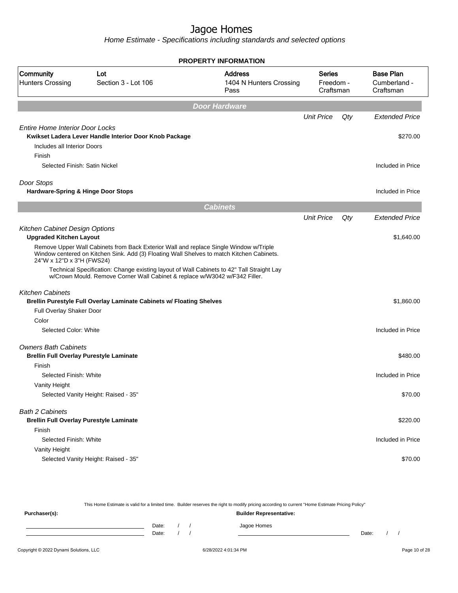Home Estimate - Specifications including standards and selected options

|                                                                                 |                                                                                                                                                                                    | <b>PROPERTY INFORMATION</b>                       |                                         |     |                                               |
|---------------------------------------------------------------------------------|------------------------------------------------------------------------------------------------------------------------------------------------------------------------------------|---------------------------------------------------|-----------------------------------------|-----|-----------------------------------------------|
| Community<br><b>Hunters Crossing</b>                                            | Lot<br>Section 3 - Lot 106                                                                                                                                                         | <b>Address</b><br>1404 N Hunters Crossing<br>Pass | <b>Series</b><br>Freedom -<br>Craftsman |     | <b>Base Plan</b><br>Cumberland -<br>Craftsman |
|                                                                                 |                                                                                                                                                                                    | <b>Door Hardware</b>                              |                                         |     |                                               |
|                                                                                 |                                                                                                                                                                                    |                                                   | <b>Unit Price</b>                       | Qty | <b>Extended Price</b>                         |
| <b>Entire Home Interior Door Locks</b><br>Includes all Interior Doors<br>Finish | Kwikset Ladera Lever Handle Interior Door Knob Package                                                                                                                             |                                                   |                                         |     | \$270.00                                      |
| Selected Finish: Satin Nickel                                                   |                                                                                                                                                                                    |                                                   |                                         |     | Included in Price                             |
| Door Stops<br>Hardware-Spring & Hinge Door Stops                                |                                                                                                                                                                                    |                                                   |                                         |     | Included in Price                             |
|                                                                                 |                                                                                                                                                                                    | <b>Cabinets</b>                                   |                                         |     |                                               |
|                                                                                 |                                                                                                                                                                                    |                                                   | <b>Unit Price</b>                       | Qty | <b>Extended Price</b>                         |
| Kitchen Cabinet Design Options<br><b>Upgraded Kitchen Layout</b>                |                                                                                                                                                                                    |                                                   |                                         |     | \$1,640.00                                    |
| 24"W x 12"D x 3"H (FWS24)                                                       | Remove Upper Wall Cabinets from Back Exterior Wall and replace Single Window w/Triple<br>Window centered on Kitchen Sink. Add (3) Floating Wall Shelves to match Kitchen Cabinets. |                                                   |                                         |     |                                               |
|                                                                                 | Technical Specification: Change existing layout of Wall Cabinets to 42" Tall Straight Lay<br>w/Crown Mould. Remove Corner Wall Cabinet & replace w/W3042 w/F342 Filler.            |                                                   |                                         |     |                                               |
| <b>Kitchen Cabinets</b>                                                         | Brellin Purestyle Full Overlay Laminate Cabinets w/ Floating Shelves                                                                                                               |                                                   |                                         |     | \$1,860.00                                    |
| Full Overlay Shaker Door                                                        |                                                                                                                                                                                    |                                                   |                                         |     |                                               |
| Color                                                                           |                                                                                                                                                                                    |                                                   |                                         |     |                                               |
| Selected Color: White                                                           |                                                                                                                                                                                    |                                                   |                                         |     | Included in Price                             |
| <b>Owners Bath Cabinets</b><br><b>Brellin Full Overlay Purestyle Laminate</b>   |                                                                                                                                                                                    |                                                   |                                         |     | \$480.00                                      |
| Finish                                                                          |                                                                                                                                                                                    |                                                   |                                         |     |                                               |
| Selected Finish: White                                                          |                                                                                                                                                                                    |                                                   |                                         |     | Included in Price                             |
| Vanity Height                                                                   |                                                                                                                                                                                    |                                                   |                                         |     |                                               |
|                                                                                 | Selected Vanity Height: Raised - 35"                                                                                                                                               |                                                   |                                         |     | \$70.00                                       |
| <b>Bath 2 Cabinets</b><br><b>Brellin Full Overlay Purestyle Laminate</b>        |                                                                                                                                                                                    |                                                   |                                         |     | \$220.00                                      |
| Finish                                                                          |                                                                                                                                                                                    |                                                   |                                         |     |                                               |
| Selected Finish: White                                                          |                                                                                                                                                                                    |                                                   |                                         |     | Included in Price                             |
| Vanity Height                                                                   |                                                                                                                                                                                    |                                                   |                                         |     |                                               |
|                                                                                 | Selected Vanity Height: Raised - 35"                                                                                                                                               |                                                   |                                         |     | \$70.00                                       |

This Home Estimate is valid for a limited time. Builder reserves the right to modify pricing according to current "Home Estimate Pricing Policy" **Purchaser(s): Builder Representative:** Date: / / Jagoe Homes<br>Date: / / Jagoe Homes Date: / / Date: / /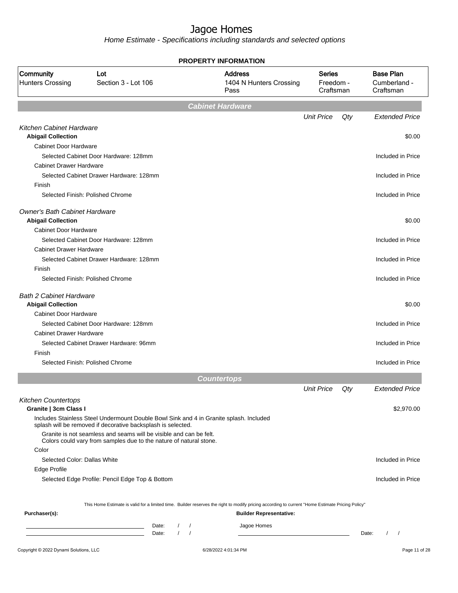|                                                             |                                                                                                                                                        |             | <b>PROPERTY INFORMATION</b>                                                                                                                      |                                         |     |                                               |
|-------------------------------------------------------------|--------------------------------------------------------------------------------------------------------------------------------------------------------|-------------|--------------------------------------------------------------------------------------------------------------------------------------------------|-----------------------------------------|-----|-----------------------------------------------|
| Community<br><b>Hunters Crossing</b>                        | Lot<br>Section 3 - Lot 106                                                                                                                             |             | <b>Address</b><br>1404 N Hunters Crossing<br>Pass                                                                                                | <b>Series</b><br>Freedom -<br>Craftsman |     | <b>Base Plan</b><br>Cumberland -<br>Craftsman |
|                                                             |                                                                                                                                                        |             | <b>Cabinet Hardware</b>                                                                                                                          |                                         |     |                                               |
|                                                             |                                                                                                                                                        |             |                                                                                                                                                  | <b>Unit Price</b>                       | Qty | <b>Extended Price</b>                         |
| <b>Kitchen Cabinet Hardware</b>                             |                                                                                                                                                        |             |                                                                                                                                                  |                                         |     |                                               |
| <b>Abigail Collection</b>                                   |                                                                                                                                                        |             |                                                                                                                                                  |                                         |     | \$0.00                                        |
| Cabinet Door Hardware                                       |                                                                                                                                                        |             |                                                                                                                                                  |                                         |     |                                               |
|                                                             | Selected Cabinet Door Hardware: 128mm                                                                                                                  |             |                                                                                                                                                  |                                         |     | Included in Price                             |
| <b>Cabinet Drawer Hardware</b>                              |                                                                                                                                                        |             |                                                                                                                                                  |                                         |     |                                               |
|                                                             | Selected Cabinet Drawer Hardware: 128mm                                                                                                                |             |                                                                                                                                                  |                                         |     | Included in Price                             |
| Finish                                                      |                                                                                                                                                        |             |                                                                                                                                                  |                                         |     |                                               |
|                                                             | Selected Finish: Polished Chrome                                                                                                                       |             |                                                                                                                                                  |                                         |     | Included in Price                             |
| <b>Owner's Bath Cabinet Hardware</b>                        |                                                                                                                                                        |             |                                                                                                                                                  |                                         |     |                                               |
| <b>Abigail Collection</b>                                   |                                                                                                                                                        |             |                                                                                                                                                  |                                         |     | \$0.00                                        |
| Cabinet Door Hardware                                       |                                                                                                                                                        |             |                                                                                                                                                  |                                         |     |                                               |
|                                                             | Selected Cabinet Door Hardware: 128mm                                                                                                                  |             |                                                                                                                                                  |                                         |     | Included in Price                             |
| <b>Cabinet Drawer Hardware</b>                              |                                                                                                                                                        |             |                                                                                                                                                  |                                         |     |                                               |
|                                                             | Selected Cabinet Drawer Hardware: 128mm                                                                                                                |             |                                                                                                                                                  |                                         |     | Included in Price                             |
| Finish                                                      |                                                                                                                                                        |             |                                                                                                                                                  |                                         |     |                                               |
|                                                             | Selected Finish: Polished Chrome                                                                                                                       |             |                                                                                                                                                  |                                         |     | Included in Price                             |
| <b>Bath 2 Cabinet Hardware</b><br><b>Abigail Collection</b> |                                                                                                                                                        |             |                                                                                                                                                  |                                         |     | \$0.00                                        |
| <b>Cabinet Door Hardware</b>                                |                                                                                                                                                        |             |                                                                                                                                                  |                                         |     |                                               |
|                                                             | Selected Cabinet Door Hardware: 128mm                                                                                                                  |             |                                                                                                                                                  |                                         |     | Included in Price                             |
| <b>Cabinet Drawer Hardware</b>                              |                                                                                                                                                        |             |                                                                                                                                                  |                                         |     |                                               |
|                                                             | Selected Cabinet Drawer Hardware: 96mm                                                                                                                 |             |                                                                                                                                                  |                                         |     | Included in Price                             |
| Finish                                                      |                                                                                                                                                        |             |                                                                                                                                                  |                                         |     |                                               |
|                                                             | Selected Finish: Polished Chrome                                                                                                                       |             |                                                                                                                                                  |                                         |     | Included in Price                             |
|                                                             |                                                                                                                                                        |             | <b>Countertops</b>                                                                                                                               |                                         |     |                                               |
|                                                             |                                                                                                                                                        |             |                                                                                                                                                  | <b>Unit Price</b>                       | Qty | Extended Price                                |
| <b>Kitchen Countertops</b><br>Granite   3cm Class I         |                                                                                                                                                        |             |                                                                                                                                                  |                                         |     | \$2,970.00                                    |
|                                                             | Includes Stainless Steel Undermount Double Bowl Sink and 4 in Granite splash. Included<br>splash will be removed if decorative backsplash is selected. |             |                                                                                                                                                  |                                         |     |                                               |
|                                                             | Granite is not seamless and seams will be visible and can be felt.<br>Colors could vary from samples due to the nature of natural stone.               |             |                                                                                                                                                  |                                         |     |                                               |
| Color                                                       |                                                                                                                                                        |             |                                                                                                                                                  |                                         |     |                                               |
| Selected Color: Dallas White                                |                                                                                                                                                        |             |                                                                                                                                                  |                                         |     | Included in Price                             |
| Edge Profile                                                |                                                                                                                                                        |             |                                                                                                                                                  |                                         |     |                                               |
|                                                             | Selected Edge Profile: Pencil Edge Top & Bottom                                                                                                        |             |                                                                                                                                                  |                                         |     | Included in Price                             |
|                                                             |                                                                                                                                                        |             | This Home Estimate is valid for a limited time. Builder reserves the right to modify pricing according to current "Home Estimate Pricing Policy" |                                         |     |                                               |
| Purchaser(s):                                               |                                                                                                                                                        |             | <b>Builder Representative:</b>                                                                                                                   |                                         |     |                                               |
|                                                             | Date:                                                                                                                                                  | $\sqrt{ }$  | Jagoe Homes                                                                                                                                      |                                         |     |                                               |
|                                                             | <u> 1989 - Johann Barn, mars et al. (b. 1989)</u><br>Date:                                                                                             | $1 \quad 1$ |                                                                                                                                                  |                                         |     | Date:<br>$\frac{1}{2}$                        |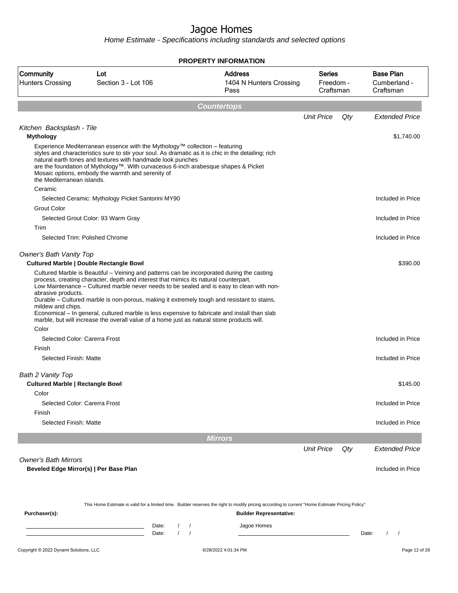| Community<br><b>Hunters Crossing</b>                                  | Lot<br>Section 3 - Lot 106                                                                                                                                                                                                                                                                                                                                                                   | <b>Address</b><br>1404 N Hunters Crossing<br>Pass | <b>Series</b><br>Freedom -<br>Craftsman |     | <b>Base Plan</b><br>Cumberland -<br>Craftsman |
|-----------------------------------------------------------------------|----------------------------------------------------------------------------------------------------------------------------------------------------------------------------------------------------------------------------------------------------------------------------------------------------------------------------------------------------------------------------------------------|---------------------------------------------------|-----------------------------------------|-----|-----------------------------------------------|
|                                                                       |                                                                                                                                                                                                                                                                                                                                                                                              | <b>Countertops</b>                                |                                         |     |                                               |
|                                                                       |                                                                                                                                                                                                                                                                                                                                                                                              |                                                   | <b>Unit Price</b>                       | Qty | <b>Extended Price</b>                         |
| Kitchen Backsplash - Tile                                             |                                                                                                                                                                                                                                                                                                                                                                                              |                                                   |                                         |     |                                               |
| <b>Mythology</b>                                                      |                                                                                                                                                                                                                                                                                                                                                                                              |                                                   |                                         |     | \$1,740.00                                    |
| the Mediterranean islands.                                            | Experience Mediterranean essence with the Mythology™ collection - featuring<br>styles and characteristics sure to stir your soul. As dramatic as it is chic in the detailing; rich<br>natural earth tones and textures with handmade look punches<br>are the foundation of Mythology™. With curvaceous 6-inch arabesque shapes & Picket<br>Mosaic options, embody the warmth and serenity of |                                                   |                                         |     |                                               |
| Ceramic                                                               |                                                                                                                                                                                                                                                                                                                                                                                              |                                                   |                                         |     |                                               |
| <b>Grout Color</b>                                                    | Selected Ceramic: Mythology Picket Santorini MY90                                                                                                                                                                                                                                                                                                                                            |                                                   |                                         |     | Included in Price                             |
|                                                                       | Selected Grout Color: 93 Warm Gray                                                                                                                                                                                                                                                                                                                                                           |                                                   |                                         |     | Included in Price                             |
| Trim                                                                  |                                                                                                                                                                                                                                                                                                                                                                                              |                                                   |                                         |     |                                               |
| Selected Trim: Polished Chrome                                        |                                                                                                                                                                                                                                                                                                                                                                                              |                                                   |                                         |     | Included in Price                             |
| Owner's Bath Vanity Top                                               |                                                                                                                                                                                                                                                                                                                                                                                              |                                                   |                                         |     |                                               |
| <b>Cultured Marble   Double Rectangle Bowl</b>                        |                                                                                                                                                                                                                                                                                                                                                                                              |                                                   |                                         |     | \$390.00                                      |
| abrasive products.<br>mildew and chips.<br>Color                      | Low Maintenance - Cultured marble never needs to be sealed and is easy to clean with non-<br>Durable - Cultured marble is non-porous, making it extremely tough and resistant to stains,<br>Economical – In general, cultured marble is less expensive to fabricate and install than slab<br>marble, but will increase the overall value of a home just as natural stone products will.      |                                                   |                                         |     |                                               |
| Selected Color: Carerra Frost                                         |                                                                                                                                                                                                                                                                                                                                                                                              |                                                   |                                         |     | Included in Price                             |
| Finish                                                                |                                                                                                                                                                                                                                                                                                                                                                                              |                                                   |                                         |     |                                               |
| Selected Finish: Matte                                                |                                                                                                                                                                                                                                                                                                                                                                                              |                                                   |                                         |     | Included in Price                             |
| Bath 2 Vanity Top                                                     |                                                                                                                                                                                                                                                                                                                                                                                              |                                                   |                                         |     |                                               |
| <b>Cultured Marble   Rectangle Bowl</b>                               |                                                                                                                                                                                                                                                                                                                                                                                              |                                                   |                                         |     | \$145.00                                      |
| Color                                                                 |                                                                                                                                                                                                                                                                                                                                                                                              |                                                   |                                         |     |                                               |
| Selected Color: Carerra Frost                                         |                                                                                                                                                                                                                                                                                                                                                                                              |                                                   |                                         |     | Included in Price                             |
| Finish                                                                |                                                                                                                                                                                                                                                                                                                                                                                              |                                                   |                                         |     |                                               |
| Selected Finish: Matte                                                |                                                                                                                                                                                                                                                                                                                                                                                              |                                                   |                                         |     | Included in Price                             |
|                                                                       |                                                                                                                                                                                                                                                                                                                                                                                              | <b>Mirrors</b>                                    |                                         |     |                                               |
|                                                                       |                                                                                                                                                                                                                                                                                                                                                                                              |                                                   | <b>Unit Price</b>                       | Qty | <b>Extended Price</b>                         |
| <b>Owner's Bath Mirrors</b><br>Beveled Edge Mirror(s)   Per Base Plan |                                                                                                                                                                                                                                                                                                                                                                                              |                                                   |                                         |     | Included in Price                             |
|                                                                       |                                                                                                                                                                                                                                                                                                                                                                                              |                                                   |                                         |     |                                               |
|                                                                       | This Home Estimate is valid for a limited time. Builder reserves the right to modify pricing according to current "Home Estimate Pricing Policy"                                                                                                                                                                                                                                             |                                                   |                                         |     |                                               |
| Purchaser(s):                                                         |                                                                                                                                                                                                                                                                                                                                                                                              | <b>Builder Representative:</b>                    |                                         |     |                                               |
|                                                                       | Date:<br>Date:                                                                                                                                                                                                                                                                                                                                                                               | Jagoe Homes                                       |                                         |     | $\prime$<br>Date:<br>$\overline{\phantom{a}}$ |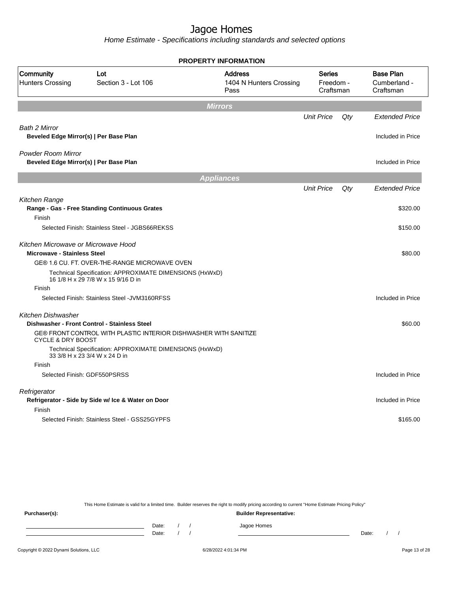Home Estimate - Specifications including standards and selected options

|                                                                           |                                                                                                                  | <b>PROPERTY INFORMATION</b>                       |                                         |     |                                               |
|---------------------------------------------------------------------------|------------------------------------------------------------------------------------------------------------------|---------------------------------------------------|-----------------------------------------|-----|-----------------------------------------------|
| Community<br><b>Hunters Crossing</b>                                      | Lot<br>Section 3 - Lot 106                                                                                       | <b>Address</b><br>1404 N Hunters Crossing<br>Pass | <b>Series</b><br>Freedom -<br>Craftsman |     | <b>Base Plan</b><br>Cumberland -<br>Craftsman |
|                                                                           |                                                                                                                  | <b>Mirrors</b>                                    |                                         |     |                                               |
|                                                                           |                                                                                                                  |                                                   | <b>Unit Price</b>                       | Qty | <b>Extended Price</b>                         |
| <b>Bath 2 Mirror</b><br>Beveled Edge Mirror(s)   Per Base Plan            |                                                                                                                  |                                                   |                                         |     | Included in Price                             |
| <b>Powder Room Mirror</b><br>Beveled Edge Mirror(s)   Per Base Plan       |                                                                                                                  |                                                   |                                         |     | Included in Price                             |
|                                                                           |                                                                                                                  | <b>Appliances</b>                                 |                                         |     |                                               |
|                                                                           |                                                                                                                  |                                                   | <b>Unit Price</b>                       | Qty | <b>Extended Price</b>                         |
| Kitchen Range                                                             | Range - Gas - Free Standing Continuous Grates                                                                    |                                                   |                                         |     | \$320.00                                      |
| Finish                                                                    | Selected Finish: Stainless Steel - JGBS66REKSS                                                                   |                                                   |                                         |     | \$150.00                                      |
| Kitchen Microwave or Microwave Hood<br><b>Microwave - Stainless Steel</b> |                                                                                                                  |                                                   |                                         |     | \$80.00                                       |
|                                                                           | GE® 1.6 CU. FT. OVER-THE-RANGE MICROWAVE OVEN                                                                    |                                                   |                                         |     |                                               |
|                                                                           | Technical Specification: APPROXIMATE DIMENSIONS (HxWxD)<br>16 1/8 H x 29 7/8 W x 15 9/16 D in                    |                                                   |                                         |     |                                               |
| Finish                                                                    |                                                                                                                  |                                                   |                                         |     |                                               |
|                                                                           | Selected Finish: Stainless Steel - JVM3160RFSS                                                                   |                                                   |                                         |     | Included in Price                             |
| Kitchen Dishwasher                                                        |                                                                                                                  |                                                   |                                         |     |                                               |
| <b>CYCLE &amp; DRY BOOST</b>                                              | Dishwasher - Front Control - Stainless Steel<br>GE® FRONT CONTROL WITH PLASTIC INTERIOR DISHWASHER WITH SANITIZE |                                                   |                                         |     | \$60.00                                       |
|                                                                           | Technical Specification: APPROXIMATE DIMENSIONS (HxWxD)<br>33 3/8 H x 23 3/4 W x 24 D in                         |                                                   |                                         |     |                                               |
| Finish                                                                    |                                                                                                                  |                                                   |                                         |     |                                               |
|                                                                           | Selected Finish: GDF550PSRSS                                                                                     |                                                   |                                         |     | Included in Price                             |
| Refrigerator                                                              | Refrigerator - Side by Side w/ Ice & Water on Door                                                               |                                                   |                                         |     | Included in Price                             |
| Finish                                                                    |                                                                                                                  |                                                   |                                         |     |                                               |
|                                                                           | Selected Finish: Stainless Steel - GSS25GYPFS                                                                    |                                                   |                                         |     | \$165.00                                      |
|                                                                           |                                                                                                                  |                                                   |                                         |     |                                               |

This Home Estimate is valid for a limited time. Builder reserves the right to modify pricing according to current "Home Estimate Pricing Policy"

**Purchaser(s): Builder Representative:** Date: / / Jagoe Homes<br>Date: / / Jagoe Homes Date: / / Date: / /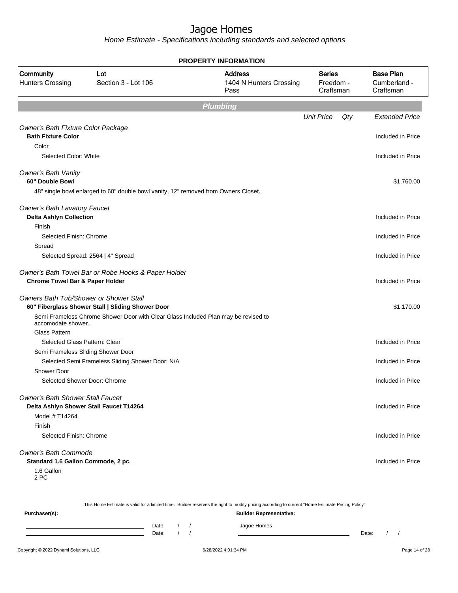Home Estimate - Specifications including standards and selected options

|                                                                       |                                                                                     | PROPERTY INFORMATION                              |                                         |                                               |
|-----------------------------------------------------------------------|-------------------------------------------------------------------------------------|---------------------------------------------------|-----------------------------------------|-----------------------------------------------|
| Community<br><b>Hunters Crossing</b>                                  | Lot<br>Section 3 - Lot 106                                                          | <b>Address</b><br>1404 N Hunters Crossing<br>Pass | <b>Series</b><br>Freedom -<br>Craftsman | <b>Base Plan</b><br>Cumberland -<br>Craftsman |
|                                                                       |                                                                                     | <b>Plumbing</b>                                   |                                         |                                               |
|                                                                       |                                                                                     |                                                   | <b>Unit Price</b><br>Qty                | <b>Extended Price</b>                         |
| Owner's Bath Fixture Color Package<br><b>Bath Fixture Color</b>       |                                                                                     |                                                   |                                         | Included in Price                             |
| Color<br>Selected Color: White                                        |                                                                                     |                                                   |                                         | Included in Price                             |
| <b>Owner's Bath Vanity</b><br>60" Double Bowl                         |                                                                                     |                                                   |                                         | \$1,760.00                                    |
|                                                                       | 48" single bowl enlarged to 60" double bowl vanity, 12" removed from Owners Closet. |                                                   |                                         |                                               |
| <b>Owner's Bath Lavatory Faucet</b><br><b>Delta Ashlyn Collection</b> |                                                                                     |                                                   |                                         | Included in Price                             |
| Finish<br>Selected Finish: Chrome                                     |                                                                                     |                                                   |                                         | Included in Price                             |
| Spread                                                                | Selected Spread: 2564   4" Spread                                                   |                                                   |                                         | Included in Price                             |
| <b>Chrome Towel Bar &amp; Paper Holder</b>                            | Owner's Bath Towel Bar or Robe Hooks & Paper Holder                                 |                                                   |                                         | Included in Price                             |
| Owners Bath Tub/Shower or Shower Stall                                | 60" Fiberglass Shower Stall   Sliding Shower Door                                   |                                                   |                                         | \$1,170.00                                    |
| accomodate shower.                                                    | Semi Frameless Chrome Shower Door with Clear Glass Included Plan may be revised to  |                                                   |                                         |                                               |
| Glass Pattern<br>Selected Glass Pattern: Clear                        |                                                                                     |                                                   |                                         | Included in Price                             |
| Semi Frameless Sliding Shower Door                                    |                                                                                     |                                                   |                                         |                                               |
|                                                                       | Selected Semi Frameless Sliding Shower Door: N/A                                    |                                                   |                                         | Included in Price                             |
| Shower Door                                                           |                                                                                     |                                                   |                                         |                                               |
| Selected Shower Door: Chrome                                          |                                                                                     |                                                   |                                         | Included in Price                             |
| <b>Owner's Bath Shower Stall Faucet</b>                               |                                                                                     |                                                   |                                         |                                               |
|                                                                       | Delta Ashlyn Shower Stall Faucet T14264                                             |                                                   |                                         | Included in Price                             |
| Model # T14264                                                        |                                                                                     |                                                   |                                         |                                               |
| Finish<br>Selected Finish: Chrome                                     |                                                                                     |                                                   |                                         | Included in Price                             |
| <b>Owner's Bath Commode</b><br>Standard 1.6 Gallon Commode, 2 pc.     |                                                                                     |                                                   |                                         | Included in Price                             |
| 1.6 Gallon<br>2 PC                                                    |                                                                                     |                                                   |                                         |                                               |

This Home Estimate is valid for a limited time. Builder reserves the right to modify pricing according to current "Home Estimate Pricing Policy"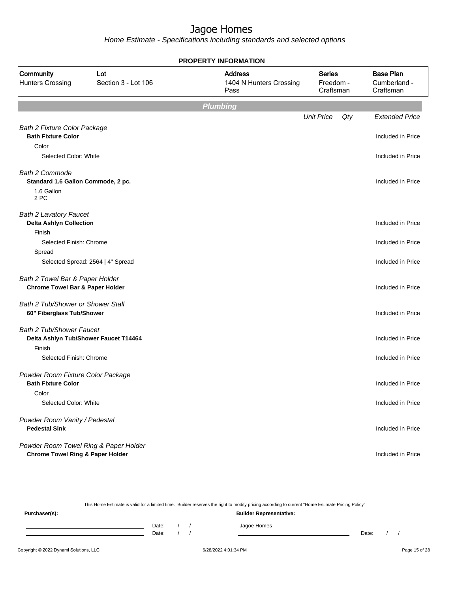Home Estimate - Specifications including standards and selected options

|                                                                               |                                       | <b>PROPERTY INFORMATION</b>                       |                                         |     |                                               |
|-------------------------------------------------------------------------------|---------------------------------------|---------------------------------------------------|-----------------------------------------|-----|-----------------------------------------------|
| Community<br><b>Hunters Crossing</b>                                          | Lot<br>Section 3 - Lot 106            | <b>Address</b><br>1404 N Hunters Crossing<br>Pass | <b>Series</b><br>Freedom -<br>Craftsman |     | <b>Base Plan</b><br>Cumberland -<br>Craftsman |
|                                                                               |                                       | <b>Plumbing</b>                                   |                                         |     |                                               |
|                                                                               |                                       |                                                   | <b>Unit Price</b>                       | Qty | <b>Extended Price</b>                         |
| <b>Bath 2 Fixture Color Package</b>                                           |                                       |                                                   |                                         |     |                                               |
| <b>Bath Fixture Color</b>                                                     |                                       |                                                   |                                         |     | Included in Price                             |
| Color                                                                         |                                       |                                                   |                                         |     |                                               |
| Selected Color: White                                                         |                                       |                                                   |                                         |     | Included in Price                             |
| <b>Bath 2 Commode</b><br>Standard 1.6 Gallon Commode, 2 pc.                   |                                       |                                                   |                                         |     | Included in Price                             |
| 1.6 Gallon<br>2 PC                                                            |                                       |                                                   |                                         |     |                                               |
| <b>Bath 2 Lavatory Faucet</b><br><b>Delta Ashlyn Collection</b>               |                                       |                                                   |                                         |     | Included in Price                             |
| Finish                                                                        |                                       |                                                   |                                         |     |                                               |
| Selected Finish: Chrome                                                       |                                       |                                                   |                                         |     | Included in Price                             |
| Spread                                                                        |                                       |                                                   |                                         |     |                                               |
|                                                                               | Selected Spread: 2564   4" Spread     |                                                   |                                         |     | Included in Price                             |
| Bath 2 Towel Bar & Paper Holder<br><b>Chrome Towel Bar &amp; Paper Holder</b> |                                       |                                                   |                                         |     | Included in Price                             |
| Bath 2 Tub/Shower or Shower Stall<br>60" Fiberglass Tub/Shower                |                                       |                                                   |                                         |     | Included in Price                             |
| <b>Bath 2 Tub/Shower Faucet</b>                                               | Delta Ashlyn Tub/Shower Faucet T14464 |                                                   |                                         |     | Included in Price                             |
| Finish                                                                        |                                       |                                                   |                                         |     |                                               |
| Selected Finish: Chrome                                                       |                                       |                                                   |                                         |     | Included in Price                             |
| Powder Room Fixture Color Package<br><b>Bath Fixture Color</b>                |                                       |                                                   |                                         |     | Included in Price                             |
| Color                                                                         |                                       |                                                   |                                         |     |                                               |
| Selected Color: White                                                         |                                       |                                                   |                                         |     | Included in Price                             |
| Powder Room Vanity / Pedestal<br><b>Pedestal Sink</b>                         |                                       |                                                   |                                         |     | Included in Price                             |
| Powder Room Towel Ring & Paper Holder                                         |                                       |                                                   |                                         |     |                                               |
| <b>Chrome Towel Ring &amp; Paper Holder</b>                                   |                                       |                                                   |                                         |     | Included in Price                             |

This Home Estimate is valid for a limited time. Builder reserves the right to modify pricing according to current "Home Estimate Pricing Policy"

**Purchaser(s): Builder Representative:** Date: / / Jagoe Homes<br>Date: / / Jagoe Homes Date: / / Date: / /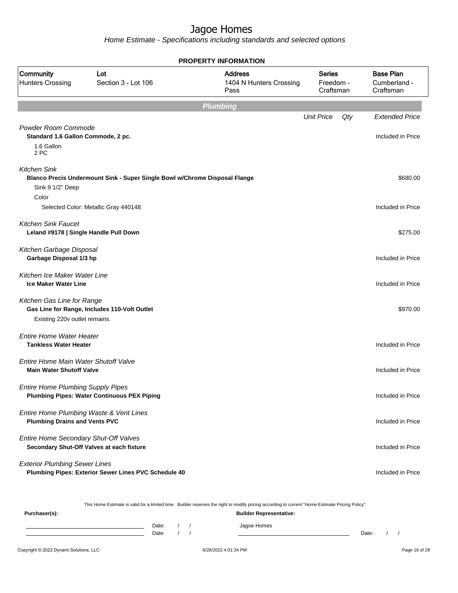Home Estimate - Specifications including standards and selected options

|                                                                                 |                                                                            | <b>PROPERTY INFORMATION</b>                       |                                  |     |                                               |
|---------------------------------------------------------------------------------|----------------------------------------------------------------------------|---------------------------------------------------|----------------------------------|-----|-----------------------------------------------|
| <b>Community</b><br><b>Hunters Crossing</b>                                     | Lot<br>Section 3 - Lot 106                                                 | <b>Address</b><br>1404 N Hunters Crossing<br>Pass | Series<br>Freedom -<br>Craftsman |     | <b>Base Plan</b><br>Cumberland -<br>Craftsman |
|                                                                                 |                                                                            | <b>Plumbing</b>                                   |                                  |     |                                               |
|                                                                                 |                                                                            |                                                   | <b>Unit Price</b>                | Qty | <b>Extended Price</b>                         |
| Powder Room Commode<br>Standard 1.6 Gallon Commode, 2 pc.<br>1.6 Gallon<br>2 PC |                                                                            |                                                   |                                  |     | Included in Price                             |
| <b>Kitchen Sink</b>                                                             | Blanco Precis Undermount Sink - Super Single Bowl w/Chrome Disposal Flange |                                                   |                                  |     | \$680.00                                      |
| Sink 9 1/2" Deep<br>Color                                                       |                                                                            |                                                   |                                  |     |                                               |
|                                                                                 | Selected Color: Metallic Gray 440148                                       |                                                   |                                  |     | Included in Price                             |
| <b>Kitchen Sink Faucet</b><br>Leland #9178   Single Handle Pull Down            |                                                                            |                                                   |                                  |     | \$275.00                                      |
| Kitchen Garbage Disposal<br>Garbage Disposal 1/3 hp                             |                                                                            |                                                   |                                  |     | Included in Price                             |
| Kitchen Ice Maker Water Line<br><b>Ice Maker Water Line</b>                     |                                                                            |                                                   |                                  |     | Included in Price                             |
| Kitchen Gas Line for Range<br>Existing 220v outlet remains.                     | Gas Line for Range, Includes 110-Volt Outlet                               |                                                   |                                  |     | \$970.00                                      |
| <b>Entire Home Water Heater</b><br><b>Tankless Water Heater</b>                 |                                                                            |                                                   |                                  |     | Included in Price                             |
| Entire Home Main Water Shutoff Valve<br><b>Main Water Shutoff Valve</b>         |                                                                            |                                                   |                                  |     | Included in Price                             |
| <b>Entire Home Plumbing Supply Pipes</b>                                        | <b>Plumbing Pipes: Water Continuous PEX Piping</b>                         |                                                   |                                  |     | Included in Price                             |
| <b>Plumbing Drains and Vents PVC</b>                                            | Entire Home Plumbing Waste & Vent Lines                                    |                                                   |                                  |     | Included in Price                             |
| Entire Home Secondary Shut-Off Valves                                           | Secondary Shut-Off Valves at each fixture                                  |                                                   |                                  |     | Included in Price                             |
| <b>Exterior Plumbing Sewer Lines</b>                                            | Plumbing Pipes: Exterior Sewer Lines PVC Schedule 40                       |                                                   |                                  |     | Included in Price                             |

This Home Estimate is valid for a limited time. Builder reserves the right to modify pricing according to current "Home Estimate Pricing Policy"

| Purchaser(s): |       |  | $\tilde{\phantom{a}}$ | <b>Builder Representative:</b> | __ | $\tilde{\phantom{a}}$ |       |  |  |
|---------------|-------|--|-----------------------|--------------------------------|----|-----------------------|-------|--|--|
|               | Date: |  |                       | Jagoe Homes                    |    |                       |       |  |  |
|               | Date: |  |                       |                                |    |                       | Date: |  |  |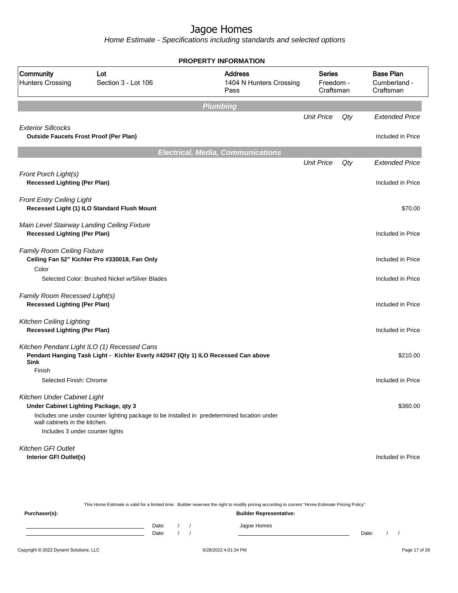|                                                                            |                                                                                                                                  | <b>PROPERTY INFORMATION</b>                       |                                  |     |                                               |
|----------------------------------------------------------------------------|----------------------------------------------------------------------------------------------------------------------------------|---------------------------------------------------|----------------------------------|-----|-----------------------------------------------|
| Community<br><b>Hunters Crossing</b>                                       | Lot<br>Section 3 - Lot 106                                                                                                       | <b>Address</b><br>1404 N Hunters Crossing<br>Pass | Series<br>Freedom -<br>Craftsman |     | <b>Base Plan</b><br>Cumberland -<br>Craftsman |
|                                                                            |                                                                                                                                  | <b>Plumbing</b>                                   |                                  |     |                                               |
|                                                                            |                                                                                                                                  |                                                   | <b>Unit Price</b>                | Qty | <b>Extended Price</b>                         |
| <b>Exterior Sillcocks</b><br><b>Outside Faucets Frost Proof (Per Plan)</b> |                                                                                                                                  |                                                   |                                  |     | Included in Price                             |
|                                                                            |                                                                                                                                  | <b>Electrical, Media, Communications</b>          |                                  |     |                                               |
|                                                                            |                                                                                                                                  |                                                   | <b>Unit Price</b>                | Qty | <b>Extended Price</b>                         |
| Front Porch Light(s)<br><b>Recessed Lighting (Per Plan)</b>                |                                                                                                                                  |                                                   |                                  |     | Included in Price                             |
| <b>Front Entry Ceiling Light</b>                                           | Recessed Light (1) ILO Standard Flush Mount                                                                                      |                                                   |                                  |     | \$70.00                                       |
| <b>Recessed Lighting (Per Plan)</b>                                        | Main Level Stairway Landing Ceiling Fixture                                                                                      |                                                   |                                  |     | Included in Price                             |
| <b>Family Room Ceiling Fixture</b><br>Color                                | Ceiling Fan 52" Kichler Pro #330018, Fan Only                                                                                    |                                                   |                                  |     | Included in Price                             |
|                                                                            | Selected Color: Brushed Nickel w/Silver Blades                                                                                   |                                                   |                                  |     | Included in Price                             |
| Family Room Recessed Light(s)<br><b>Recessed Lighting (Per Plan)</b>       |                                                                                                                                  |                                                   |                                  |     | Included in Price                             |
| Kitchen Ceiling Lighting<br><b>Recessed Lighting (Per Plan)</b>            |                                                                                                                                  |                                                   |                                  |     | Included in Price                             |
| Sink                                                                       | Kitchen Pendant Light ILO (1) Recessed Cans<br>Pendant Hanging Task Light - Kichler Everly #42047 (Qty 1) ILO Recessed Can above |                                                   |                                  |     | \$210.00                                      |
| Finish<br>Selected Finish: Chrome                                          |                                                                                                                                  |                                                   |                                  |     | Included in Price                             |
| Kitchen Under Cabinet Light<br>Under Cabinet Lighting Package, qty 3       |                                                                                                                                  |                                                   |                                  |     | \$360.00                                      |
| wall cabinets in the kitchen.                                              | Includes one under counter lighting package to be installed in predetermined location under                                      |                                                   |                                  |     |                                               |
| Includes 3 under counter lights                                            |                                                                                                                                  |                                                   |                                  |     |                                               |
| Kitchen GFI Outlet                                                         |                                                                                                                                  |                                                   |                                  |     |                                               |
| Interior GFI Outlet(s)                                                     |                                                                                                                                  |                                                   |                                  |     | Included in Price                             |

|               | This Home Estimate is valid for a limited time. Builder reserves the right to modify pricing according to current "Home Estimate Pricing Policy" |  |  |             |       |  |  |  |  |
|---------------|--------------------------------------------------------------------------------------------------------------------------------------------------|--|--|-------------|-------|--|--|--|--|
| Purchaser(s): | <b>Builder Representative:</b>                                                                                                                   |  |  |             |       |  |  |  |  |
|               | Date:                                                                                                                                            |  |  | Jagoe Homes |       |  |  |  |  |
|               | Date:                                                                                                                                            |  |  |             | Date: |  |  |  |  |
|               |                                                                                                                                                  |  |  |             |       |  |  |  |  |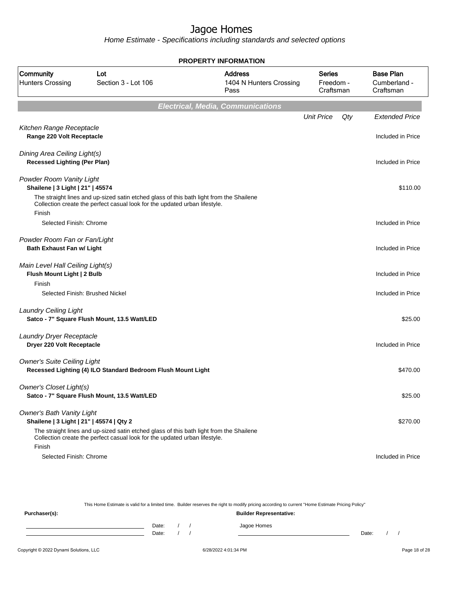Home Estimate - Specifications including standards and selected options

|                                                                              |                                                                                                                                                                       | <b>PROPERTY INFORMATION</b>                       |                                         |     |                                               |
|------------------------------------------------------------------------------|-----------------------------------------------------------------------------------------------------------------------------------------------------------------------|---------------------------------------------------|-----------------------------------------|-----|-----------------------------------------------|
| Community<br><b>Hunters Crossing</b>                                         | Lot<br>Section 3 - Lot 106                                                                                                                                            | <b>Address</b><br>1404 N Hunters Crossing<br>Pass | <b>Series</b><br>Freedom -<br>Craftsman |     | <b>Base Plan</b><br>Cumberland -<br>Craftsman |
|                                                                              |                                                                                                                                                                       | <b>Electrical, Media, Communications</b>          |                                         |     |                                               |
|                                                                              |                                                                                                                                                                       |                                                   | <b>Unit Price</b>                       | Qty | <b>Extended Price</b>                         |
| Kitchen Range Receptacle<br>Range 220 Volt Receptacle                        |                                                                                                                                                                       |                                                   |                                         |     | Included in Price                             |
| Dining Area Ceiling Light(s)<br><b>Recessed Lighting (Per Plan)</b>          |                                                                                                                                                                       |                                                   |                                         |     | Included in Price                             |
| Powder Room Vanity Light<br>Shailene   3 Light   21"   45574                 |                                                                                                                                                                       |                                                   |                                         |     | \$110.00                                      |
| Finish                                                                       | The straight lines and up-sized satin etched glass of this bath light from the Shailene<br>Collection create the perfect casual look for the updated urban lifestyle. |                                                   |                                         |     |                                               |
| Selected Finish: Chrome                                                      |                                                                                                                                                                       |                                                   |                                         |     | Included in Price                             |
| Powder Room Fan or Fan/Light<br><b>Bath Exhaust Fan w/ Light</b>             |                                                                                                                                                                       |                                                   |                                         |     | Included in Price                             |
| Main Level Hall Ceiling Light(s)<br>Flush Mount Light   2 Bulb               |                                                                                                                                                                       |                                                   |                                         |     | Included in Price                             |
| Finish                                                                       | Selected Finish: Brushed Nickel                                                                                                                                       |                                                   |                                         |     | Included in Price                             |
| <b>Laundry Ceiling Light</b>                                                 | Satco - 7" Square Flush Mount, 13.5 Watt/LED                                                                                                                          |                                                   |                                         |     | \$25.00                                       |
| Laundry Dryer Receptacle<br>Dryer 220 Volt Receptacle                        |                                                                                                                                                                       |                                                   |                                         |     | Included in Price                             |
| <b>Owner's Suite Ceiling Light</b>                                           | Recessed Lighting (4) ILO Standard Bedroom Flush Mount Light                                                                                                          |                                                   |                                         |     | \$470.00                                      |
| Owner's Closet Light(s)                                                      | Satco - 7" Square Flush Mount, 13.5 Watt/LED                                                                                                                          |                                                   |                                         |     | \$25.00                                       |
| <b>Owner's Bath Vanity Light</b><br>Shailene   3 Light   21"   45574   Qty 2 |                                                                                                                                                                       |                                                   |                                         |     | \$270.00                                      |
| Finish                                                                       | The straight lines and up-sized satin etched glass of this bath light from the Shailene<br>Collection create the perfect casual look for the updated urban lifestyle. |                                                   |                                         |     |                                               |
| Selected Finish: Chrome                                                      |                                                                                                                                                                       |                                                   |                                         |     | Included in Price                             |

This Home Estimate is valid for a limited time. Builder reserves the right to modify pricing according to current "Home Estimate Pricing Policy" **Purchaser(s): Builder Representative:** Date: / / Jagoe Homes<br>Date: / / Jagoe Homes Date: / / **Date: / / 2006** Date: / / / Date: / / / Date: / / / 2006 Date: / / / 2006 Date: / / / 2006 Date: / / / 2006 Date: / / / 2007 Date: / / / 2007 Date: / / / 2007 Date: / / / 2007 Date: / / / 2007 Date: / / / 2007 D

Copyright © 2022 Dynami Solutions, LLC **Company of 28/2022 4:01:34 PM** 6/28/2022 4:01:34 PM Page 18 of 28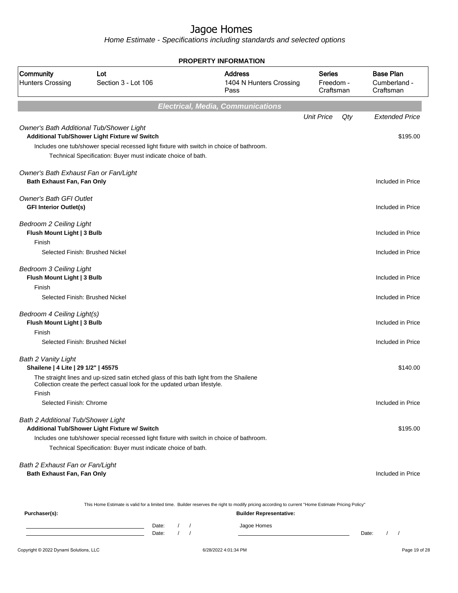Home Estimate - Specifications including standards and selected options

|                                                                        |                                                                                                                                                                                                            | <b>PROPERTY INFORMATION</b>                                                                                                                      |                                         |                                               |
|------------------------------------------------------------------------|------------------------------------------------------------------------------------------------------------------------------------------------------------------------------------------------------------|--------------------------------------------------------------------------------------------------------------------------------------------------|-----------------------------------------|-----------------------------------------------|
| <b>Community</b><br><b>Hunters Crossing</b>                            | Lot<br>Section 3 - Lot 106                                                                                                                                                                                 | <b>Address</b><br>1404 N Hunters Crossing<br>Pass                                                                                                | <b>Series</b><br>Freedom -<br>Craftsman | <b>Base Plan</b><br>Cumberland -<br>Craftsman |
|                                                                        |                                                                                                                                                                                                            | <b>Electrical, Media, Communications</b>                                                                                                         |                                         |                                               |
|                                                                        |                                                                                                                                                                                                            |                                                                                                                                                  | <b>Unit Price</b><br>Qty                | <b>Extended Price</b>                         |
| Owner's Bath Additional Tub/Shower Light                               | Additional Tub/Shower Light Fixture w/ Switch<br>Includes one tub/shower special recessed light fixture with switch in choice of bathroom.<br>Technical Specification: Buyer must indicate choice of bath. |                                                                                                                                                  |                                         | \$195.00                                      |
| Owner's Bath Exhaust Fan or Fan/Light<br>Bath Exhaust Fan, Fan Only    |                                                                                                                                                                                                            |                                                                                                                                                  |                                         | Included in Price                             |
| <b>Owner's Bath GFI Outlet</b><br><b>GFI Interior Outlet(s)</b>        |                                                                                                                                                                                                            |                                                                                                                                                  |                                         | Included in Price                             |
| <b>Bedroom 2 Ceiling Light</b><br>Flush Mount Light   3 Bulb<br>Finish |                                                                                                                                                                                                            |                                                                                                                                                  |                                         | Included in Price                             |
|                                                                        | Selected Finish: Brushed Nickel                                                                                                                                                                            |                                                                                                                                                  |                                         | Included in Price                             |
| Bedroom 3 Ceiling Light<br>Flush Mount Light   3 Bulb<br>Finish        |                                                                                                                                                                                                            |                                                                                                                                                  |                                         | Included in Price                             |
|                                                                        | Selected Finish: Brushed Nickel                                                                                                                                                                            |                                                                                                                                                  |                                         | Included in Price                             |
| Bedroom 4 Ceiling Light(s)<br>Flush Mount Light   3 Bulb               |                                                                                                                                                                                                            |                                                                                                                                                  |                                         | Included in Price                             |
| Finish                                                                 | Selected Finish: Brushed Nickel                                                                                                                                                                            |                                                                                                                                                  |                                         | Included in Price                             |
| Bath 2 Vanity Light<br>Shailene   4 Lite   29 1/2"   45575             |                                                                                                                                                                                                            |                                                                                                                                                  |                                         | \$140.00                                      |
|                                                                        | The straight lines and up-sized satin etched glass of this bath light from the Shailene<br>Collection create the perfect casual look for the updated urban lifestyle.                                      |                                                                                                                                                  |                                         |                                               |
| Finish<br>Selected Finish: Chrome                                      |                                                                                                                                                                                                            |                                                                                                                                                  |                                         | Included in Price                             |
| Bath 2 Additional Tub/Shower Light                                     | Additional Tub/Shower Light Fixture w/ Switch                                                                                                                                                              |                                                                                                                                                  |                                         | \$195.00                                      |
|                                                                        | Includes one tub/shower special recessed light fixture with switch in choice of bathroom.<br>Technical Specification: Buyer must indicate choice of bath.                                                  |                                                                                                                                                  |                                         |                                               |
| Bath 2 Exhaust Fan or Fan/Light<br>Bath Exhaust Fan, Fan Only          |                                                                                                                                                                                                            |                                                                                                                                                  |                                         | Included in Price                             |
|                                                                        |                                                                                                                                                                                                            | This Home Estimate is valid for a limited time. Builder reserves the right to modify pricing according to current "Home Estimate Pricing Policy" |                                         |                                               |
| Purchaser(s):                                                          |                                                                                                                                                                                                            | <b>Builder Representative:</b>                                                                                                                   |                                         |                                               |

Date: / / Jagoe Homes<br>Date: / / Jagoe Homes Date: / / Date: / /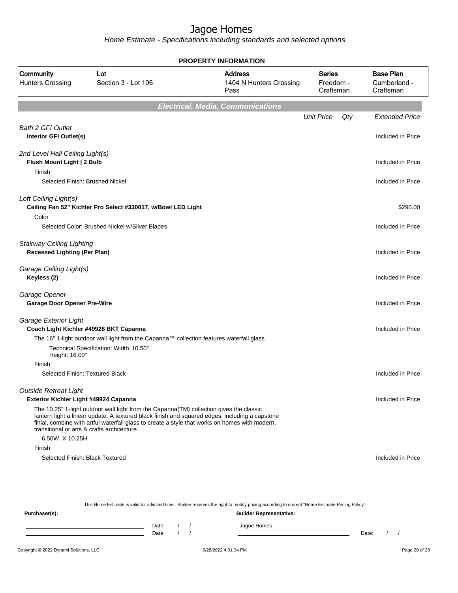Home Estimate - Specifications including standards and selected options

|                                                                         |                                                                                                                                                                                                                                                                                                                                            | <b>PROPERTY INFORMATION</b>                       |                                  |     |                                               |
|-------------------------------------------------------------------------|--------------------------------------------------------------------------------------------------------------------------------------------------------------------------------------------------------------------------------------------------------------------------------------------------------------------------------------------|---------------------------------------------------|----------------------------------|-----|-----------------------------------------------|
| Community<br><b>Hunters Crossing</b>                                    | Lot<br>Section 3 - Lot 106                                                                                                                                                                                                                                                                                                                 | <b>Address</b><br>1404 N Hunters Crossing<br>Pass | Series<br>Freedom -<br>Craftsman |     | <b>Base Plan</b><br>Cumberland -<br>Craftsman |
|                                                                         |                                                                                                                                                                                                                                                                                                                                            | <b>Electrical, Media, Communications</b>          |                                  |     |                                               |
|                                                                         |                                                                                                                                                                                                                                                                                                                                            |                                                   | <b>Unit Price</b>                | Qty | <b>Extended Price</b>                         |
| <b>Bath 2 GFI Outlet</b><br>Interior GFI Outlet(s)                      |                                                                                                                                                                                                                                                                                                                                            |                                                   |                                  |     | Included in Price                             |
| 2nd Level Hall Ceiling Light(s)                                         |                                                                                                                                                                                                                                                                                                                                            |                                                   |                                  |     |                                               |
| Flush Mount Light   2 Bulb<br>Finish                                    |                                                                                                                                                                                                                                                                                                                                            |                                                   |                                  |     | Included in Price                             |
| Selected Finish: Brushed Nickel                                         |                                                                                                                                                                                                                                                                                                                                            |                                                   |                                  |     | Included in Price                             |
| Loft Ceiling Light(s)                                                   | Ceiling Fan 52" Kichler Pro Select #330017, w/Bowl LED Light                                                                                                                                                                                                                                                                               |                                                   |                                  |     | \$290.00                                      |
| Color                                                                   | Selected Color: Brushed Nickel w/Silver Blades                                                                                                                                                                                                                                                                                             |                                                   |                                  |     | Included in Price                             |
| <b>Stairway Ceiling Lighting</b><br><b>Recessed Lighting (Per Plan)</b> |                                                                                                                                                                                                                                                                                                                                            |                                                   |                                  |     | Included in Price                             |
| Garage Ceiling Light(s)<br>Keyless (2)                                  |                                                                                                                                                                                                                                                                                                                                            |                                                   |                                  |     | Included in Price                             |
| Garage Opener<br><b>Garage Door Opener Pre-Wire</b>                     |                                                                                                                                                                                                                                                                                                                                            |                                                   |                                  |     | Included in Price                             |
| Garage Exterior Light                                                   | Coach Light Kichler #49926 BKT Capanna<br>The 16" 1-light outdoor wall light from the Capanna™ collection features waterfall glass.                                                                                                                                                                                                        |                                                   |                                  |     | Included in Price                             |
| Height: 16.00"                                                          | Technical Specification: Width: 10.50"                                                                                                                                                                                                                                                                                                     |                                                   |                                  |     |                                               |
| Finish<br>Selected Finish: Textured Black                               |                                                                                                                                                                                                                                                                                                                                            |                                                   |                                  |     | Included in Price                             |
| <b>Outside Retreat Light</b><br>Exterior Kichler Light #49924 Capanna   |                                                                                                                                                                                                                                                                                                                                            |                                                   |                                  |     | Included in Price                             |
|                                                                         | The 10.25" 1-light outdoor wall light from the Capanna(TM) collection gives the classic<br>lantern light a linear update. A textured black finish and squared edges, including a capstone<br>finial, combine with artful waterfall glass to create a style that works on homes with modern,<br>transitional or arts & crafts architecture. |                                                   |                                  |     |                                               |
| 6.50W X 10.25H<br>Finish                                                |                                                                                                                                                                                                                                                                                                                                            |                                                   |                                  |     |                                               |
| Selected Finish: Black Textured                                         |                                                                                                                                                                                                                                                                                                                                            |                                                   |                                  |     | Included in Price                             |

This Home Estimate is valid for a limited time. Builder reserves the right to modify pricing according to current "Home Estimate Pricing Policy" **Purchaser(s): Builder Representative:** Date: / / Jagoe Homes<br>Date: / / Jagoe Homes Date: / / **Date: / / 2006** Date: / / / Date: / / / Date: / / / 2006 Date: / / / 2006 Date: / / / 2006 Date: / / / 2006 Date: / / / 2007 Date: / / / 2007 Date: / / / 2007 Date: / / / 2007 Date: / / / 2007 Date: / / / 2007 D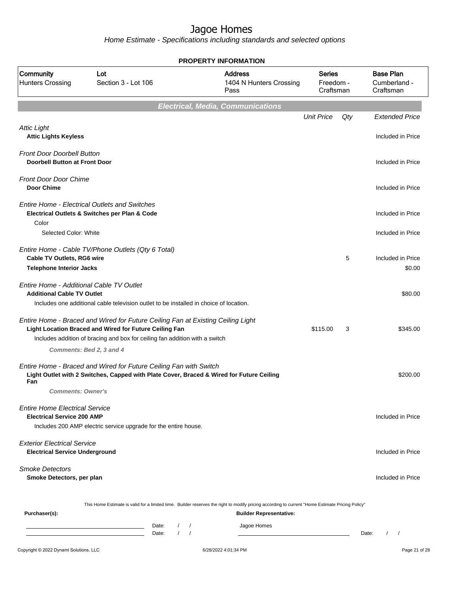| Community<br><b>Hunters Crossing</b>                                          | Lot<br>Section 3 - Lot 106                                                                                                                                                                                               |              | <b>LITTE UNIVERSITY</b><br><b>Address</b><br>1404 N Hunters Crossing<br>Pass | <b>Series</b><br>Freedom -<br>Craftsman |       | <b>Base Plan</b><br>Cumberland -<br>Craftsman |
|-------------------------------------------------------------------------------|--------------------------------------------------------------------------------------------------------------------------------------------------------------------------------------------------------------------------|--------------|------------------------------------------------------------------------------|-----------------------------------------|-------|-----------------------------------------------|
|                                                                               |                                                                                                                                                                                                                          |              | <b>Electrical, Media, Communications</b>                                     |                                         |       |                                               |
|                                                                               |                                                                                                                                                                                                                          |              |                                                                              | <b>Unit Price</b>                       | Qty   | <b>Extended Price</b>                         |
| <b>Attic Light</b><br><b>Attic Lights Keyless</b>                             |                                                                                                                                                                                                                          |              |                                                                              |                                         |       | Included in Price                             |
| <b>Front Door Doorbell Button</b><br><b>Doorbell Button at Front Door</b>     |                                                                                                                                                                                                                          |              |                                                                              |                                         |       | Included in Price                             |
| <b>Front Door Door Chime</b><br><b>Door Chime</b>                             |                                                                                                                                                                                                                          |              |                                                                              |                                         |       | Included in Price                             |
| <b>Entire Home - Electrical Outlets and Switches</b>                          | Electrical Outlets & Switches per Plan & Code                                                                                                                                                                            |              |                                                                              |                                         |       | Included in Price                             |
| Color<br>Selected Color: White                                                |                                                                                                                                                                                                                          |              |                                                                              |                                         |       | Included in Price                             |
| Cable TV Outlets, RG6 wire<br><b>Telephone Interior Jacks</b>                 | Entire Home - Cable TV/Phone Outlets (Qty 6 Total)                                                                                                                                                                       |              |                                                                              |                                         | 5     | Included in Price<br>\$0.00                   |
| Entire Home - Additional Cable TV Outlet<br><b>Additional Cable TV Outlet</b> | Includes one additional cable television outlet to be installed in choice of location.                                                                                                                                   |              |                                                                              |                                         |       | \$80.00                                       |
| Comments: Bed 2, 3 and 4                                                      | Entire Home - Braced and Wired for Future Ceiling Fan at Existing Ceiling Light<br>Light Location Braced and Wired for Future Ceiling Fan<br>Includes addition of bracing and box for ceiling fan addition with a switch |              |                                                                              | \$115.00                                | 3     | \$345.00                                      |
| Fan<br><b>Comments: Owner's</b>                                               | Entire Home - Braced and Wired for Future Ceiling Fan with Switch<br>Light Outlet with 2 Switches, Capped with Plate Cover, Braced & Wired for Future Ceiling                                                            |              |                                                                              |                                         |       | \$200.00                                      |
| <b>Entire Home Electrical Service</b><br><b>Electrical Service 200 AMP</b>    |                                                                                                                                                                                                                          |              |                                                                              |                                         |       | Included in Price                             |
| <b>Exterior Electrical Service</b><br><b>Electrical Service Underground</b>   | Includes 200 AMP electric service upgrade for the entire house.                                                                                                                                                          |              |                                                                              |                                         |       | Included in Price                             |
| <b>Smoke Detectors</b><br>Smoke Detectors, per plan                           |                                                                                                                                                                                                                          |              |                                                                              |                                         |       | Included in Price                             |
| Purchaser(s):                                                                 | This Home Estimate is valid for a limited time. Builder reserves the right to modify pricing according to current "Home Estimate Pricing Policy"<br>Date:                                                                | $\sqrt{ }$   | <b>Builder Representative:</b><br>Jagoe Homes                                |                                         |       |                                               |
|                                                                               | Date:                                                                                                                                                                                                                    | $\mathcal I$ |                                                                              |                                         | Date: | $\prime$<br>$\sqrt{ }$                        |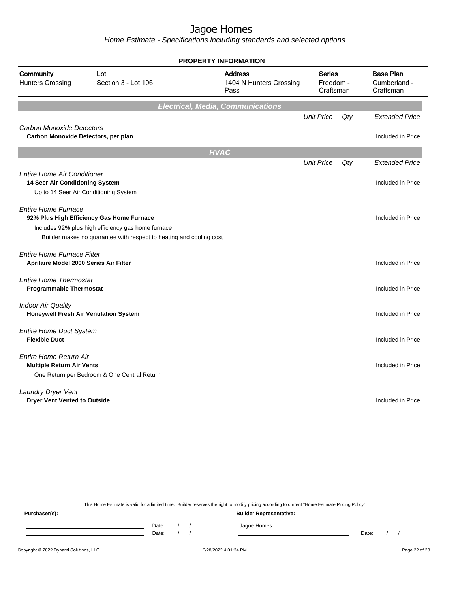Home Estimate - Specifications including standards and selected options

| Community<br><b>Address</b><br>Lot<br><b>Series</b><br><b>Hunters Crossing</b><br>Section 3 - Lot 106<br>1404 N Hunters Crossing<br>Freedom -<br>Craftsman<br>Pass<br><b>Electrical, Media, Communications</b><br><b>Unit Price</b><br>$Q$ ty<br><b>Carbon Monoxide Detectors</b><br>Carbon Monoxide Detectors, per plan<br><b>HVAC</b><br><b>Unit Price</b><br>$Q$ ty<br><b>Entire Home Air Conditioner</b><br>14 Seer Air Conditioning System<br>Up to 14 Seer Air Conditioning System<br><b>Entire Home Furnace</b><br>92% Plus High Efficiency Gas Home Furnace<br>Includes 92% plus high efficiency gas home furnace<br>Builder makes no guarantee with respect to heating and cooling cost<br><b>Entire Home Furnace Filter</b><br>Aprilaire Model 2000 Series Air Filter<br><b>Entire Home Thermostat</b><br><b>Programmable Thermostat</b><br><b>Indoor Air Quality</b><br>Honeywell Fresh Air Ventilation System<br><b>Entire Home Duct System</b><br><b>Flexible Duct</b><br>Entire Home Return Air<br><b>Multiple Return Air Vents</b><br>One Return per Bedroom & One Central Return<br>Laundry Dryer Vent<br><b>Dryer Vent Vented to Outside</b> |  | <b>PROPERTY INFORMATION</b> |  |                                               |
|---------------------------------------------------------------------------------------------------------------------------------------------------------------------------------------------------------------------------------------------------------------------------------------------------------------------------------------------------------------------------------------------------------------------------------------------------------------------------------------------------------------------------------------------------------------------------------------------------------------------------------------------------------------------------------------------------------------------------------------------------------------------------------------------------------------------------------------------------------------------------------------------------------------------------------------------------------------------------------------------------------------------------------------------------------------------------------------------------------------------------------------------------------------|--|-----------------------------|--|-----------------------------------------------|
|                                                                                                                                                                                                                                                                                                                                                                                                                                                                                                                                                                                                                                                                                                                                                                                                                                                                                                                                                                                                                                                                                                                                                               |  |                             |  | <b>Base Plan</b><br>Cumberland -<br>Craftsman |
|                                                                                                                                                                                                                                                                                                                                                                                                                                                                                                                                                                                                                                                                                                                                                                                                                                                                                                                                                                                                                                                                                                                                                               |  |                             |  |                                               |
|                                                                                                                                                                                                                                                                                                                                                                                                                                                                                                                                                                                                                                                                                                                                                                                                                                                                                                                                                                                                                                                                                                                                                               |  |                             |  | <b>Extended Price</b>                         |
|                                                                                                                                                                                                                                                                                                                                                                                                                                                                                                                                                                                                                                                                                                                                                                                                                                                                                                                                                                                                                                                                                                                                                               |  |                             |  | Included in Price                             |
|                                                                                                                                                                                                                                                                                                                                                                                                                                                                                                                                                                                                                                                                                                                                                                                                                                                                                                                                                                                                                                                                                                                                                               |  |                             |  |                                               |
|                                                                                                                                                                                                                                                                                                                                                                                                                                                                                                                                                                                                                                                                                                                                                                                                                                                                                                                                                                                                                                                                                                                                                               |  |                             |  | <b>Extended Price</b>                         |
|                                                                                                                                                                                                                                                                                                                                                                                                                                                                                                                                                                                                                                                                                                                                                                                                                                                                                                                                                                                                                                                                                                                                                               |  |                             |  | Included in Price                             |
|                                                                                                                                                                                                                                                                                                                                                                                                                                                                                                                                                                                                                                                                                                                                                                                                                                                                                                                                                                                                                                                                                                                                                               |  |                             |  | Included in Price                             |
|                                                                                                                                                                                                                                                                                                                                                                                                                                                                                                                                                                                                                                                                                                                                                                                                                                                                                                                                                                                                                                                                                                                                                               |  |                             |  | Included in Price                             |
|                                                                                                                                                                                                                                                                                                                                                                                                                                                                                                                                                                                                                                                                                                                                                                                                                                                                                                                                                                                                                                                                                                                                                               |  |                             |  | Included in Price                             |
|                                                                                                                                                                                                                                                                                                                                                                                                                                                                                                                                                                                                                                                                                                                                                                                                                                                                                                                                                                                                                                                                                                                                                               |  |                             |  | Included in Price                             |
|                                                                                                                                                                                                                                                                                                                                                                                                                                                                                                                                                                                                                                                                                                                                                                                                                                                                                                                                                                                                                                                                                                                                                               |  |                             |  | Included in Price                             |
|                                                                                                                                                                                                                                                                                                                                                                                                                                                                                                                                                                                                                                                                                                                                                                                                                                                                                                                                                                                                                                                                                                                                                               |  |                             |  | Included in Price                             |
|                                                                                                                                                                                                                                                                                                                                                                                                                                                                                                                                                                                                                                                                                                                                                                                                                                                                                                                                                                                                                                                                                                                                                               |  |                             |  | Included in Price                             |

This Home Estimate is valid for a limited time. Builder reserves the right to modify pricing according to current "Home Estimate Pricing Policy"

**Purchaser(s): Builder Representative:** Date: / / Jagoe Homes<br>Date: / / Jagoe Homes Date: / / Date: / /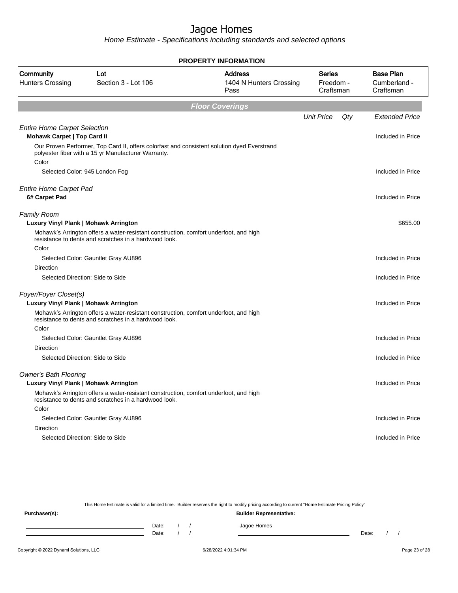Home Estimate - Specifications including standards and selected options

|                                                                           |                                                                                                                                                    | <b>PROPERTY INFORMATION</b>                       |                                  |                                               |
|---------------------------------------------------------------------------|----------------------------------------------------------------------------------------------------------------------------------------------------|---------------------------------------------------|----------------------------------|-----------------------------------------------|
| Community<br><b>Hunters Crossing</b>                                      | Lot<br>Section 3 - Lot 106                                                                                                                         | <b>Address</b><br>1404 N Hunters Crossing<br>Pass | Series<br>Freedom -<br>Craftsman | <b>Base Plan</b><br>Cumberland -<br>Craftsman |
|                                                                           |                                                                                                                                                    | <b>Floor Coverings</b>                            |                                  |                                               |
|                                                                           |                                                                                                                                                    |                                                   | <b>Unit Price</b><br>Qty         | <b>Extended Price</b>                         |
| <b>Entire Home Carpet Selection</b><br><b>Mohawk Carpet   Top Card II</b> |                                                                                                                                                    |                                                   |                                  | Included in Price                             |
|                                                                           | Our Proven Performer, Top Card II, offers colorfast and consistent solution dyed Everstrand<br>polyester fiber with a 15 yr Manufacturer Warranty. |                                                   |                                  |                                               |
| Color                                                                     |                                                                                                                                                    |                                                   |                                  |                                               |
|                                                                           | Selected Color: 945 London Fog                                                                                                                     |                                                   |                                  | Included in Price                             |
| <b>Entire Home Carpet Pad</b>                                             |                                                                                                                                                    |                                                   |                                  |                                               |
| 6# Carpet Pad                                                             |                                                                                                                                                    |                                                   |                                  | Included in Price                             |
| <b>Family Room</b>                                                        |                                                                                                                                                    |                                                   |                                  |                                               |
| Luxury Vinyl Plank   Mohawk Arrington                                     |                                                                                                                                                    |                                                   |                                  | \$655.00                                      |
|                                                                           | Mohawk's Arrington offers a water-resistant construction, comfort underfoot, and high<br>resistance to dents and scratches in a hardwood look.     |                                                   |                                  |                                               |
| Color                                                                     |                                                                                                                                                    |                                                   |                                  |                                               |
|                                                                           | Selected Color: Gauntlet Gray AU896                                                                                                                |                                                   |                                  | Included in Price                             |
| Direction                                                                 |                                                                                                                                                    |                                                   |                                  |                                               |
|                                                                           | Selected Direction: Side to Side                                                                                                                   |                                                   |                                  | Included in Price                             |
| Foyer/Foyer Closet(s)                                                     |                                                                                                                                                    |                                                   |                                  |                                               |
| Luxury Vinyl Plank   Mohawk Arrington                                     |                                                                                                                                                    |                                                   |                                  | Included in Price                             |
|                                                                           | Mohawk's Arrington offers a water-resistant construction, comfort underfoot, and high<br>resistance to dents and scratches in a hardwood look.     |                                                   |                                  |                                               |
| Color                                                                     |                                                                                                                                                    |                                                   |                                  |                                               |
|                                                                           | Selected Color: Gauntlet Gray AU896                                                                                                                |                                                   |                                  | Included in Price                             |
| Direction                                                                 |                                                                                                                                                    |                                                   |                                  |                                               |
|                                                                           | Selected Direction: Side to Side                                                                                                                   |                                                   |                                  | Included in Price                             |
| <b>Owner's Bath Flooring</b>                                              |                                                                                                                                                    |                                                   |                                  |                                               |
| Luxury Vinyl Plank   Mohawk Arrington                                     |                                                                                                                                                    |                                                   |                                  | Included in Price                             |
|                                                                           | Mohawk's Arrington offers a water-resistant construction, comfort underfoot, and high<br>resistance to dents and scratches in a hardwood look.     |                                                   |                                  |                                               |
| Color                                                                     |                                                                                                                                                    |                                                   |                                  |                                               |
|                                                                           | Selected Color: Gauntlet Gray AU896                                                                                                                |                                                   |                                  | Included in Price                             |
| Direction                                                                 |                                                                                                                                                    |                                                   |                                  |                                               |
|                                                                           | Selected Direction: Side to Side                                                                                                                   |                                                   |                                  | Included in Price                             |
|                                                                           |                                                                                                                                                    |                                                   |                                  |                                               |

This Home Estimate is valid for a limited time. Builder reserves the right to modify pricing according to current "Home Estimate Pricing Policy"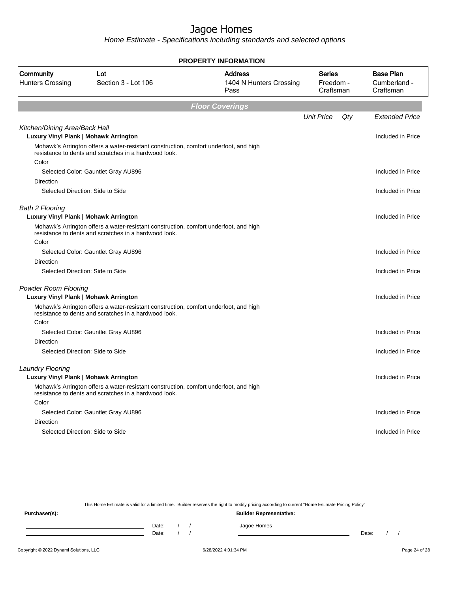Home Estimate - Specifications including standards and selected options

|                                                                        |                                                                                                                                                | <b>PROPERTY INFORMATION</b>                       |                                  |     |                                               |
|------------------------------------------------------------------------|------------------------------------------------------------------------------------------------------------------------------------------------|---------------------------------------------------|----------------------------------|-----|-----------------------------------------------|
| Community<br><b>Hunters Crossing</b>                                   | Lot<br>Section 3 - Lot 106                                                                                                                     | <b>Address</b><br>1404 N Hunters Crossing<br>Pass | Series<br>Freedom -<br>Craftsman |     | <b>Base Plan</b><br>Cumberland -<br>Craftsman |
|                                                                        |                                                                                                                                                | <b>Floor Coverings</b>                            |                                  |     |                                               |
|                                                                        |                                                                                                                                                |                                                   | <b>Unit Price</b>                | Qty | Extended Price                                |
| Kitchen/Dining Area/Back Hall<br>Luxury Vinyl Plank   Mohawk Arrington |                                                                                                                                                |                                                   |                                  |     | Included in Price                             |
|                                                                        | Mohawk's Arrington offers a water-resistant construction, comfort underfoot, and high<br>resistance to dents and scratches in a hardwood look. |                                                   |                                  |     |                                               |
| Color                                                                  | Selected Color: Gauntlet Gray AU896                                                                                                            |                                                   |                                  |     | Included in Price                             |
| Direction                                                              |                                                                                                                                                |                                                   |                                  |     |                                               |
|                                                                        | Selected Direction: Side to Side                                                                                                               |                                                   |                                  |     | Included in Price                             |
| <b>Bath 2 Flooring</b><br>Luxury Vinyl Plank   Mohawk Arrington        |                                                                                                                                                |                                                   |                                  |     | Included in Price                             |
|                                                                        | Mohawk's Arrington offers a water-resistant construction, comfort underfoot, and high<br>resistance to dents and scratches in a hardwood look. |                                                   |                                  |     |                                               |
| Color                                                                  |                                                                                                                                                |                                                   |                                  |     |                                               |
|                                                                        | Selected Color: Gauntlet Gray AU896                                                                                                            |                                                   |                                  |     | Included in Price                             |
| <b>Direction</b>                                                       |                                                                                                                                                |                                                   |                                  |     |                                               |
|                                                                        | Selected Direction: Side to Side                                                                                                               |                                                   |                                  |     | Included in Price                             |
| <b>Powder Room Flooring</b><br>Luxury Vinyl Plank   Mohawk Arrington   |                                                                                                                                                |                                                   |                                  |     | Included in Price                             |
|                                                                        | Mohawk's Arrington offers a water-resistant construction, comfort underfoot, and high<br>resistance to dents and scratches in a hardwood look. |                                                   |                                  |     |                                               |
| Color                                                                  |                                                                                                                                                |                                                   |                                  |     |                                               |
|                                                                        | Selected Color: Gauntlet Gray AU896                                                                                                            |                                                   |                                  |     | Included in Price                             |
| <b>Direction</b>                                                       |                                                                                                                                                |                                                   |                                  |     |                                               |
|                                                                        | Selected Direction: Side to Side                                                                                                               |                                                   |                                  |     | Included in Price                             |
| <b>Laundry Flooring</b>                                                |                                                                                                                                                |                                                   |                                  |     |                                               |
| Luxury Vinyl Plank   Mohawk Arrington                                  |                                                                                                                                                |                                                   |                                  |     | Included in Price                             |
|                                                                        | Mohawk's Arrington offers a water-resistant construction, comfort underfoot, and high<br>resistance to dents and scratches in a hardwood look. |                                                   |                                  |     |                                               |
| Color                                                                  |                                                                                                                                                |                                                   |                                  |     |                                               |
|                                                                        | Selected Color: Gauntlet Gray AU896                                                                                                            |                                                   |                                  |     | Included in Price                             |
| Direction                                                              |                                                                                                                                                |                                                   |                                  |     |                                               |
|                                                                        | Selected Direction: Side to Side                                                                                                               |                                                   |                                  |     | Included in Price                             |
|                                                                        |                                                                                                                                                |                                                   |                                  |     |                                               |

This Home Estimate is valid for a limited time. Builder reserves the right to modify pricing according to current "Home Estimate Pricing Policy"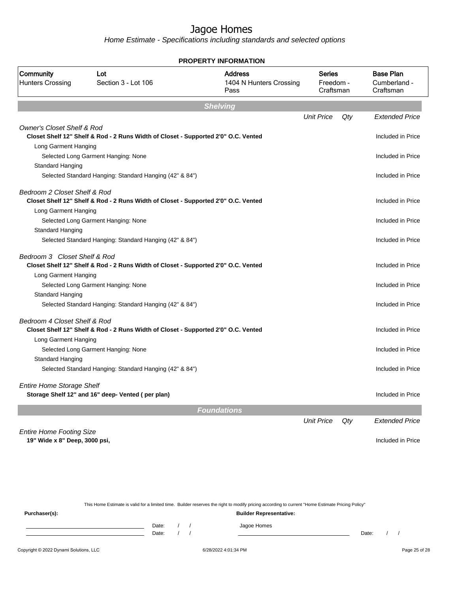Home Estimate - Specifications including standards and selected options

|                                       |                                                                                    | <b>PROPERTY INFORMATION</b>                       |                                         |     |                                               |
|---------------------------------------|------------------------------------------------------------------------------------|---------------------------------------------------|-----------------------------------------|-----|-----------------------------------------------|
| Community<br><b>Hunters Crossing</b>  | Lot<br>Section 3 - Lot 106                                                         | <b>Address</b><br>1404 N Hunters Crossing<br>Pass | <b>Series</b><br>Freedom -<br>Craftsman |     | <b>Base Plan</b><br>Cumberland -<br>Craftsman |
|                                       |                                                                                    | <b>Shelving</b>                                   |                                         |     |                                               |
|                                       |                                                                                    |                                                   | <b>Unit Price</b>                       | Qty | <b>Extended Price</b>                         |
| <b>Owner's Closet Shelf &amp; Rod</b> | Closet Shelf 12" Shelf & Rod - 2 Runs Width of Closet - Supported 2'0" O.C. Vented |                                                   |                                         |     | Included in Price                             |
| Long Garment Hanging                  |                                                                                    |                                                   |                                         |     |                                               |
|                                       | Selected Long Garment Hanging: None                                                |                                                   |                                         |     | Included in Price                             |
| Standard Hanging                      |                                                                                    |                                                   |                                         |     |                                               |
|                                       | Selected Standard Hanging: Standard Hanging (42" & 84")                            |                                                   |                                         |     | Included in Price                             |
| Bedroom 2 Closet Shelf & Rod          |                                                                                    |                                                   |                                         |     |                                               |
|                                       | Closet Shelf 12" Shelf & Rod - 2 Runs Width of Closet - Supported 2'0" O.C. Vented |                                                   |                                         |     | Included in Price                             |
| Long Garment Hanging                  |                                                                                    |                                                   |                                         |     |                                               |
|                                       | Selected Long Garment Hanging: None                                                |                                                   |                                         |     | Included in Price                             |
| Standard Hanging                      |                                                                                    |                                                   |                                         |     |                                               |
|                                       | Selected Standard Hanging: Standard Hanging (42" & 84")                            |                                                   |                                         |     | Included in Price                             |
| Bedroom 3 Closet Shelf & Rod          | Closet Shelf 12" Shelf & Rod - 2 Runs Width of Closet - Supported 2'0" O.C. Vented |                                                   |                                         |     | Included in Price                             |
| Long Garment Hanging                  |                                                                                    |                                                   |                                         |     |                                               |
|                                       | Selected Long Garment Hanging: None                                                |                                                   |                                         |     | Included in Price                             |
| <b>Standard Hanging</b>               |                                                                                    |                                                   |                                         |     |                                               |
|                                       | Selected Standard Hanging: Standard Hanging (42" & 84")                            |                                                   |                                         |     | Included in Price                             |
| Bedroom 4 Closet Shelf & Rod          |                                                                                    |                                                   |                                         |     |                                               |
|                                       | Closet Shelf 12" Shelf & Rod - 2 Runs Width of Closet - Supported 2'0" O.C. Vented |                                                   |                                         |     | Included in Price                             |
| Long Garment Hanging                  |                                                                                    |                                                   |                                         |     |                                               |
|                                       | Selected Long Garment Hanging: None                                                |                                                   |                                         |     | Included in Price                             |
| Standard Hanging                      |                                                                                    |                                                   |                                         |     |                                               |
|                                       | Selected Standard Hanging: Standard Hanging (42" & 84")                            |                                                   |                                         |     | Included in Price                             |
| <b>Entire Home Storage Shelf</b>      |                                                                                    |                                                   |                                         |     |                                               |
|                                       | Storage Shelf 12" and 16" deep- Vented (per plan)                                  |                                                   |                                         |     | Included in Price                             |
|                                       |                                                                                    | <b>Foundations</b>                                |                                         |     |                                               |
|                                       |                                                                                    |                                                   | <b>Unit Price</b>                       | Qty | <b>Extended Price</b>                         |
| <b>Entire Home Footing Size</b>       |                                                                                    |                                                   |                                         |     |                                               |
| 19" Wide x 8" Deep, 3000 psi,         |                                                                                    |                                                   |                                         |     | Included in Price                             |
|                                       |                                                                                    |                                                   |                                         |     |                                               |
|                                       |                                                                                    |                                                   |                                         |     |                                               |

This Home Estimate is valid for a limited time. Builder reserves the right to modify pricing according to current "Home Estimate Pricing Policy" **Purchaser(s): Builder Representative:** Date: / / Jagoe Homes<br>Date: / / Jagoe Homes Date: / / **Date: / / 2006** Date: / / / Date: / / / Date: / / / 2006 Date: / / / 2006 Date: / / / 2006 Date: / / / 2006 Date: / / / 2007 Date: / / / 2007 Date: / / / 2007 Date: / / / 2007 Date: / / / 2007 Date: / / / 2007 D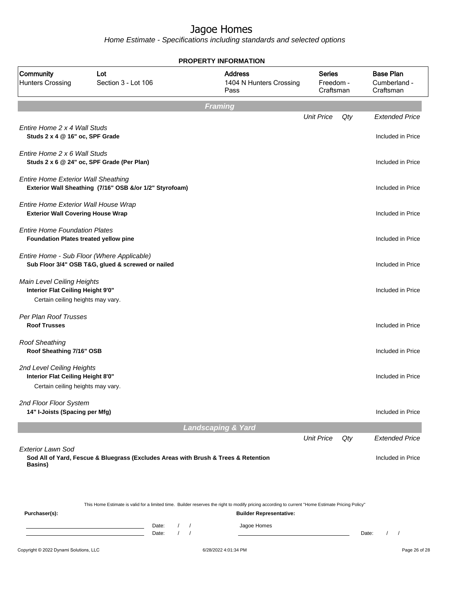|                                                                                                      |                                                                                                 | <b>PROPERTY INFORMATION</b>                                                                                                                                                        |                                         |                                               |
|------------------------------------------------------------------------------------------------------|-------------------------------------------------------------------------------------------------|------------------------------------------------------------------------------------------------------------------------------------------------------------------------------------|-----------------------------------------|-----------------------------------------------|
| Community<br><b>Hunters Crossing</b>                                                                 | Lot<br>Section 3 - Lot 106                                                                      | <b>Address</b><br>1404 N Hunters Crossing<br>Pass                                                                                                                                  | <b>Series</b><br>Freedom -<br>Craftsman | <b>Base Plan</b><br>Cumberland -<br>Craftsman |
|                                                                                                      |                                                                                                 | <b>Framing</b>                                                                                                                                                                     |                                         |                                               |
| Entire Home 2 x 4 Wall Studs<br>Studs 2 x 4 @ 16" oc, SPF Grade                                      |                                                                                                 |                                                                                                                                                                                    | <b>Unit Price</b><br>Qty                | <b>Extended Price</b><br>Included in Price    |
| Entire Home 2 x 6 Wall Studs                                                                         | Studs 2 x 6 @ 24" oc, SPF Grade (Per Plan)                                                      |                                                                                                                                                                                    |                                         | Included in Price                             |
| <b>Entire Home Exterior Wall Sheathing</b>                                                           | Exterior Wall Sheathing (7/16" OSB &/or 1/2" Styrofoam)                                         |                                                                                                                                                                                    |                                         | Included in Price                             |
| Entire Home Exterior Wall House Wrap<br><b>Exterior Wall Covering House Wrap</b>                     |                                                                                                 |                                                                                                                                                                                    |                                         | Included in Price                             |
| <b>Entire Home Foundation Plates</b><br>Foundation Plates treated yellow pine                        |                                                                                                 |                                                                                                                                                                                    |                                         | Included in Price                             |
|                                                                                                      | Entire Home - Sub Floor (Where Applicable)<br>Sub Floor 3/4" OSB T&G, glued & screwed or nailed |                                                                                                                                                                                    |                                         | Included in Price                             |
| Main Level Ceiling Heights<br>Interior Flat Ceiling Height 9'0"<br>Certain ceiling heights may vary. |                                                                                                 |                                                                                                                                                                                    |                                         | Included in Price                             |
| Per Plan Roof Trusses<br><b>Roof Trusses</b>                                                         |                                                                                                 |                                                                                                                                                                                    |                                         | Included in Price                             |
| <b>Roof Sheathing</b><br>Roof Sheathing 7/16" OSB                                                    |                                                                                                 |                                                                                                                                                                                    |                                         | Included in Price                             |
| 2nd Level Ceiling Heights<br>Interior Flat Ceiling Height 8'0"<br>Certain ceiling heights may vary.  |                                                                                                 |                                                                                                                                                                                    |                                         | Included in Price                             |
| 2nd Floor Floor System<br>14" I-Joists (Spacing per Mfg)                                             |                                                                                                 |                                                                                                                                                                                    |                                         | Included in Price                             |
|                                                                                                      |                                                                                                 | <b>Landscaping &amp; Yard</b>                                                                                                                                                      |                                         |                                               |
|                                                                                                      |                                                                                                 |                                                                                                                                                                                    | <b>Unit Price</b><br>Qty                | <b>Extended Price</b>                         |
| <b>Exterior Lawn Sod</b><br>Basins)                                                                  |                                                                                                 | Sod All of Yard, Fescue & Bluegrass (Excludes Areas with Brush & Trees & Retention                                                                                                 |                                         | Included in Price                             |
| Purchaser(s):                                                                                        |                                                                                                 | This Home Estimate is valid for a limited time. Builder reserves the right to modify pricing according to current "Home Estimate Pricing Policy"<br><b>Builder Representative:</b> |                                         |                                               |
|                                                                                                      | Date:<br>Date:                                                                                  | Jagoe Homes<br>$\sqrt{2}$<br>$\prime$<br>$\sqrt{ }$<br>$\sqrt{ }$                                                                                                                  |                                         | Date:                                         |
| Copyright © 2022 Dynami Solutions, LLC                                                               |                                                                                                 | 6/28/2022 4:01:34 PM                                                                                                                                                               |                                         | Page 26 of 28                                 |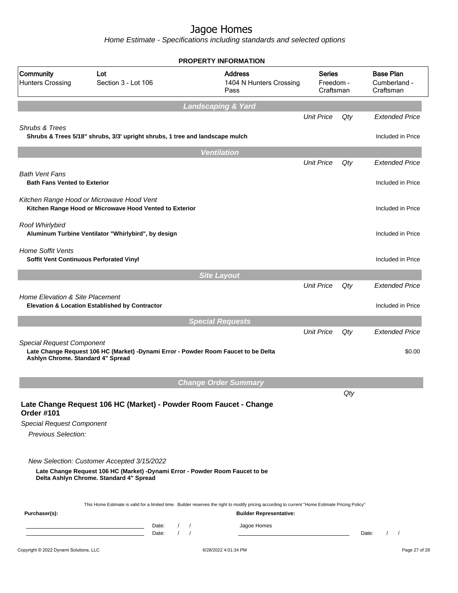|                                                                       |                                                                                                                                                                       | <b>PROPERTY INFORMATION</b>                                                                                                                      |                                  |     |                                               |
|-----------------------------------------------------------------------|-----------------------------------------------------------------------------------------------------------------------------------------------------------------------|--------------------------------------------------------------------------------------------------------------------------------------------------|----------------------------------|-----|-----------------------------------------------|
| Community<br><b>Hunters Crossing</b>                                  | Lot<br>Section 3 - Lot 106                                                                                                                                            | <b>Address</b><br>1404 N Hunters Crossing<br>Pass                                                                                                | Series<br>Freedom -<br>Craftsman |     | <b>Base Plan</b><br>Cumberland -<br>Craftsman |
|                                                                       |                                                                                                                                                                       | <b>Landscaping &amp; Yard</b>                                                                                                                    |                                  |     |                                               |
|                                                                       |                                                                                                                                                                       |                                                                                                                                                  | <b>Unit Price</b>                | Qty | <b>Extended Price</b>                         |
| Shrubs & Trees                                                        | Shrubs & Trees 5/18" shrubs, 3/3' upright shrubs, 1 tree and landscape mulch                                                                                          |                                                                                                                                                  |                                  |     | Included in Price                             |
|                                                                       |                                                                                                                                                                       | <b>Ventilation</b>                                                                                                                               |                                  |     |                                               |
|                                                                       |                                                                                                                                                                       |                                                                                                                                                  | <b>Unit Price</b>                | Qty | <b>Extended Price</b>                         |
| <b>Bath Vent Fans</b>                                                 |                                                                                                                                                                       |                                                                                                                                                  |                                  |     |                                               |
| <b>Bath Fans Vented to Exterior</b>                                   |                                                                                                                                                                       |                                                                                                                                                  |                                  |     | Included in Price                             |
|                                                                       | Kitchen Range Hood or Microwave Hood Vent<br>Kitchen Range Hood or Microwave Hood Vented to Exterior                                                                  |                                                                                                                                                  |                                  |     | Included in Price                             |
| Roof Whirlybird                                                       | Aluminum Turbine Ventilator "Whirlybird", by design                                                                                                                   |                                                                                                                                                  |                                  |     | Included in Price                             |
| <b>Home Soffit Vents</b><br>Soffit Vent Continuous Perforated Vinyl   |                                                                                                                                                                       |                                                                                                                                                  |                                  |     | Included in Price                             |
|                                                                       |                                                                                                                                                                       | <b>Site Layout</b>                                                                                                                               |                                  |     |                                               |
|                                                                       |                                                                                                                                                                       |                                                                                                                                                  | <b>Unit Price</b>                | Qty | <b>Extended Price</b>                         |
| <b>Home Elevation &amp; Site Placement</b>                            | Elevation & Location Established by Contractor                                                                                                                        |                                                                                                                                                  |                                  |     | Included in Price                             |
|                                                                       |                                                                                                                                                                       | <b>Special Requests</b>                                                                                                                          |                                  |     |                                               |
|                                                                       |                                                                                                                                                                       |                                                                                                                                                  | <b>Unit Price</b>                | Qty | <b>Extended Price</b>                         |
| <b>Special Request Component</b><br>Ashlyn Chrome. Standard 4" Spread | Late Change Request 106 HC (Market) -Dynami Error - Powder Room Faucet to be Delta                                                                                    |                                                                                                                                                  |                                  |     | \$0.00                                        |
|                                                                       |                                                                                                                                                                       | <b>Change Order Summary</b>                                                                                                                      |                                  |     |                                               |
| <b>Order #101</b>                                                     | Late Change Request 106 HC (Market) - Powder Room Faucet - Change                                                                                                     |                                                                                                                                                  |                                  | Qty |                                               |
| <b>Special Request Component</b>                                      |                                                                                                                                                                       |                                                                                                                                                  |                                  |     |                                               |
| Previous Selection:                                                   |                                                                                                                                                                       |                                                                                                                                                  |                                  |     |                                               |
|                                                                       | New Selection: Customer Accepted 3/15/2022<br>Late Change Request 106 HC (Market) -Dynami Error - Powder Room Faucet to be<br>Delta Ashlyn Chrome. Standard 4" Spread |                                                                                                                                                  |                                  |     |                                               |
|                                                                       |                                                                                                                                                                       | This Home Estimate is valid for a limited time. Builder reserves the right to modify pricing according to current "Home Estimate Pricing Policy" |                                  |     |                                               |
| Purchaser(s):                                                         |                                                                                                                                                                       | <b>Builder Representative:</b>                                                                                                                   |                                  |     |                                               |
|                                                                       | $\frac{1}{2}$<br>Date:<br>$1 \quad 1$<br>Date:<br>the control of the control of the control of the control of the control of                                          | Jagoe Homes                                                                                                                                      |                                  |     | $\frac{1}{2}$<br>Date:                        |